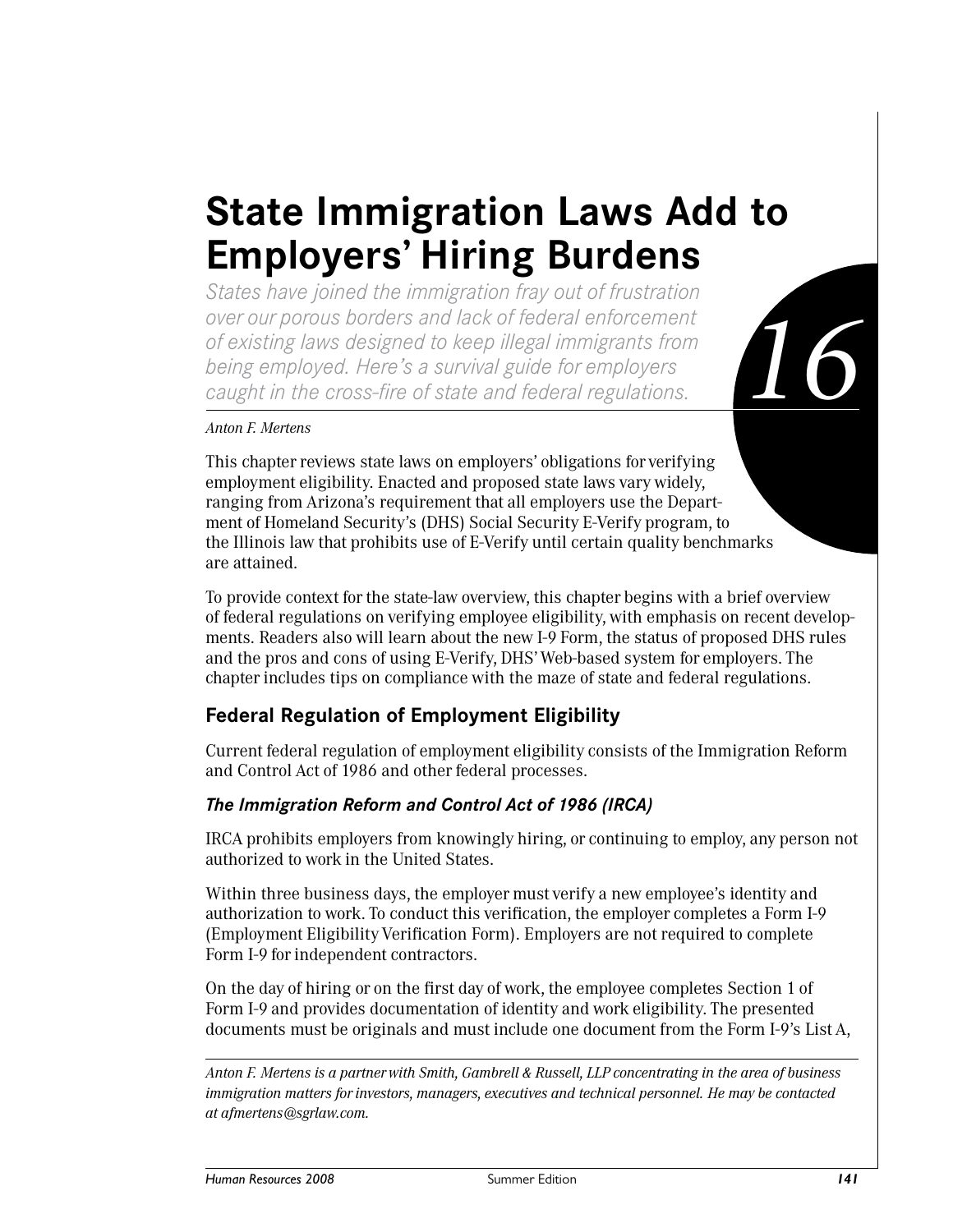# **State Immigration Laws Add to Employers' Hiring Burdens**

*States have joined the immigration fray out of frustration over our porous borders and lack of federal enforcement of existing laws designed to keep illegal immigrants from being employed. Here's a survival guide for employers caught in the cross-fire of state and federal regulations.*



## *Anton F. Mertens*

This chapter reviews state laws on employers' obligations for verifying employment eligibility. Enacted and proposed state laws vary widely, ranging from Arizona's requirement that all employers use the Department of Homeland Security's (DHS) Social Security E-Verify program, to the Illinois law that prohibits use of E-Verify until certain quality benchmarks are attained.

To provide context for the state-law overview, this chapter begins with a brief overview of federal regulations on verifying employee eligibility, with emphasis on recent developments. Readers also will learn about the new I-9 Form, the status of proposed DHS rules and the pros and cons of using E-Verify, DHS' Web-based system for employers. The chapter includes tips on compliance with the maze of state and federal regulations.

# **Federal Regulation of Employment Eligibility**

Current federal regulation of employment eligibility consists of the Immigration Reform and Control Act of 1986 and other federal processes.

# *The Immigration Reform and Control Act of 1986 (IRCA)*

IRCA prohibits employers from knowingly hiring, or continuing to employ, any person not authorized to work in the United States.

Within three business days, the employer must verify a new employee's identity and authorization to work. To conduct this verification, the employer completes a Form I-9 (Employment Eligibility Verification Form). Employers are not required to complete Form I-9 for independent contractors.

On the day of hiring or on the first day of work, the employee completes Section 1 of Form I-9 and provides documentation of identity and work eligibility. The presented documents must be originals and must include one document from the Form I-9's List A,

*Anton F. Mertens is a partner with Smith, Gambrell & Russell, LLP concentrating in the area of business immigration matters for investors, managers, executives and technical personnel. He may be contacted at afmertens@sgrlaw.com.*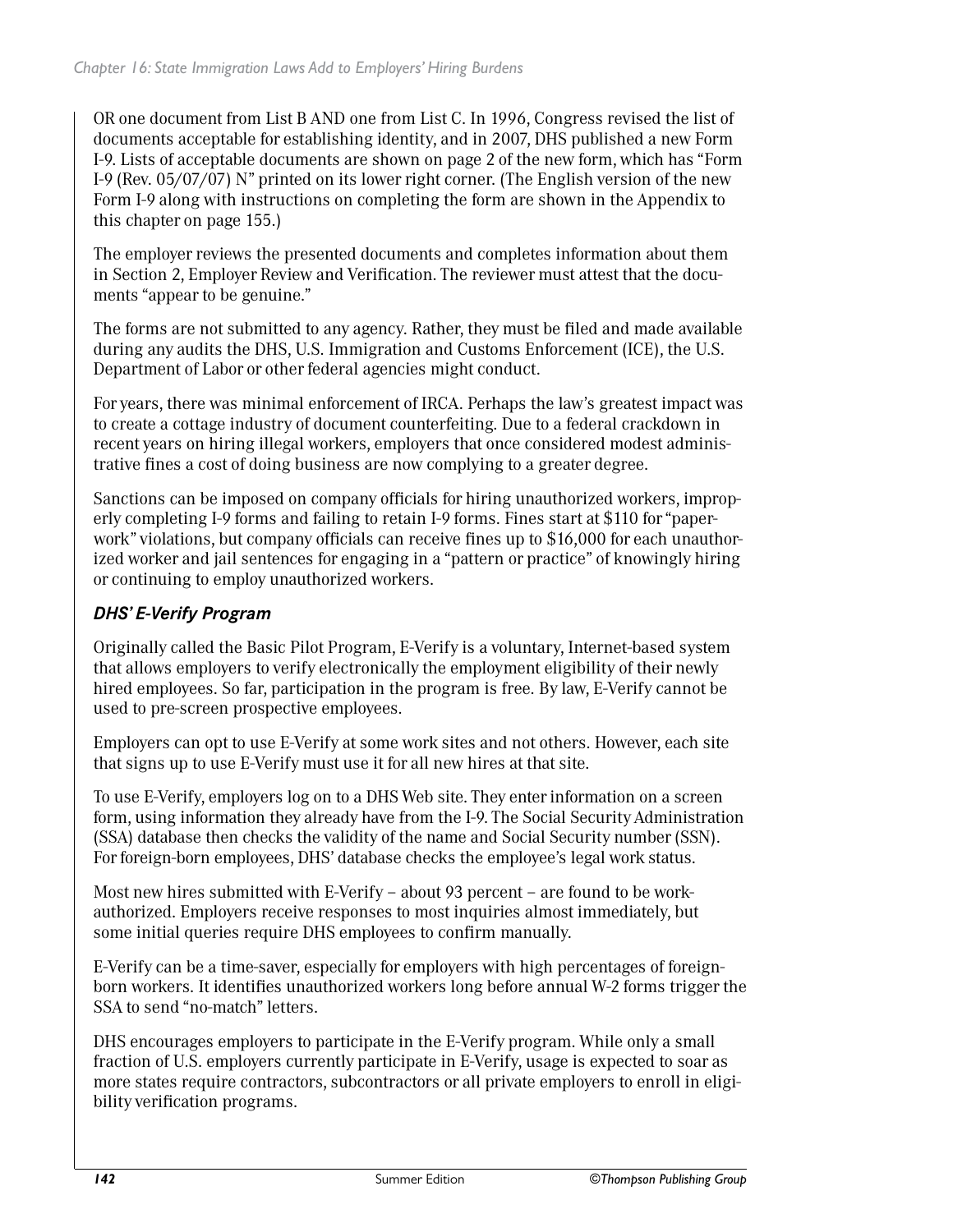OR one document from List B AND one from List C. In 1996, Congress revised the list of documents acceptable for establishing identity, and in 2007, DHS published a new Form I-9. Lists of acceptable documents are shown on page 2 of the new form, which has "Form I-9 (Rev. 05/07/07) N" printed on its lower right corner. (The English version of the new Form I-9 along with instructions on completing the form are shown in the Appendix to this chapter on page 155.)

The employer reviews the presented documents and completes information about them in Section 2, Employer Review and Verification. The reviewer must attest that the documents "appear to be genuine."

The forms are not submitted to any agency. Rather, they must be filed and made available during any audits the DHS, U.S. Immigration and Customs Enforcement (ICE), the U.S. Department of Labor or other federal agencies might conduct.

For years, there was minimal enforcement of IRCA. Perhaps the law's greatest impact was to create a cottage industry of document counterfeiting. Due to a federal crackdown in recent years on hiring illegal workers, employers that once considered modest administrative fines a cost of doing business are now complying to a greater degree.

Sanctions can be imposed on company officials for hiring unauthorized workers, improperly completing I-9 forms and failing to retain I-9 forms. Fines start at \$110 for "paperwork" violations, but company officials can receive fines up to \$16,000 for each unauthorized worker and jail sentences for engaging in a "pattern or practice" of knowingly hiring or continuing to employ unauthorized workers.

# *DHS' E-Verify Program*

Originally called the Basic Pilot Program, E-Verify is a voluntary, Internet-based system that allows employers to verify electronically the employment eligibility of their newly hired employees. So far, participation in the program is free. By law, E-Verify cannot be used to pre-screen prospective employees.

Employers can opt to use E-Verify at some work sites and not others. However, each site that signs up to use E-Verify must use it for all new hires at that site.

To use E-Verify, employers log on to a DHS Web site. They enter information on a screen form, using information they already have from the I-9. The Social Security Administration (SSA) database then checks the validity of the name and Social Security number (SSN). For foreign-born employees, DHS' database checks the employee's legal work status.

Most new hires submitted with E-Verify — about 93 percent — are found to be workauthorized. Employers receive responses to most inquiries almost immediately, but some initial queries require DHS employees to confirm manually.

E-Verify can be a time-saver, especially for employers with high percentages of foreignborn workers. It identifies unauthorized workers long before annual W-2 forms trigger the SSA to send "no-match" letters.

DHS encourages employers to participate in the E-Verify program. While only a small fraction of U.S. employers currently participate in E-Verify, usage is expected to soar as more states require contractors, subcontractors or all private employers to enroll in eligibility verification programs.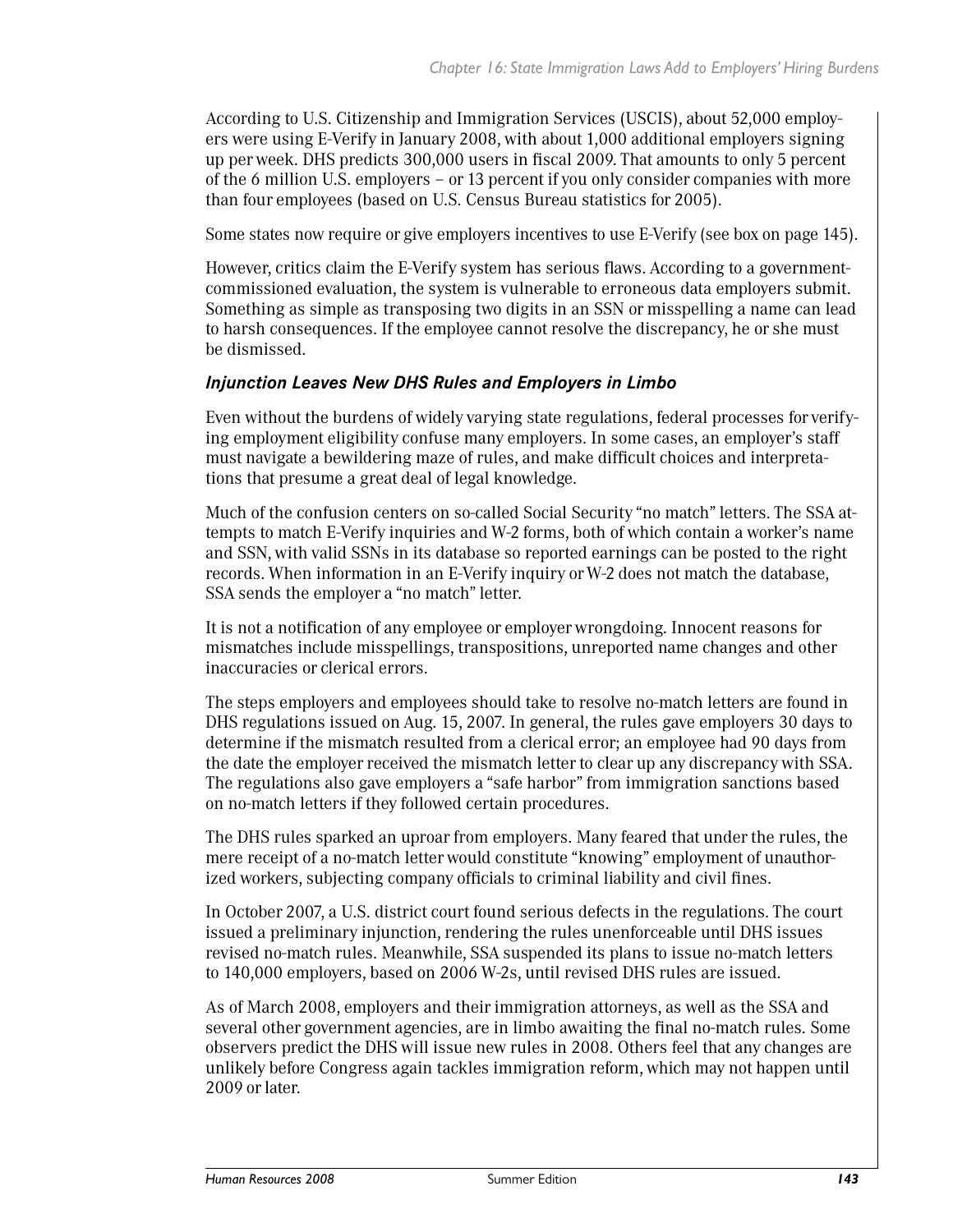According to U.S. Citizenship and Immigration Services (USCIS), about 52,000 employers were using E-Verify in January 2008, with about 1,000 additional employers signing up per week. DHS predicts 300,000 users in fiscal 2009. That amounts to only 5 percent of the 6 million U.S. employers — or 13 percent if you only consider companies with more than four employees (based on U.S. Census Bureau statistics for 2005).

Some states now require or give employers incentives to use E-Verify (see box on page 145).

However, critics claim the E-Verify system has serious flaws. According to a governmentcommissioned evaluation, the system is vulnerable to erroneous data employers submit. Something as simple as transposing two digits in an SSN or misspelling a name can lead to harsh consequences. If the employee cannot resolve the discrepancy, he or she must be dismissed.

## *Injunction Leaves New DHS Rules and Employers in Limbo*

Even without the burdens of widely varying state regulations, federal processes for verifying employment eligibility confuse many employers. In some cases, an employer's staff must navigate a bewildering maze of rules, and make difficult choices and interpretations that presume a great deal of legal knowledge.

Much of the confusion centers on so-called Social Security "no match" letters. The SSA attempts to match E-Verify inquiries and W-2 forms, both of which contain a worker's name and SSN, with valid SSNs in its database so reported earnings can be posted to the right records. When information in an E-Verify inquiry or W-2 does not match the database, SSA sends the employer a "no match" letter.

It is not a notification of any employee or employer wrongdoing. Innocent reasons for mismatches include misspellings, transpositions, unreported name changes and other inaccuracies or clerical errors.

The steps employers and employees should take to resolve no-match letters are found in DHS regulations issued on Aug. 15, 2007. In general, the rules gave employers 30 days to determine if the mismatch resulted from a clerical error; an employee had 90 days from the date the employer received the mismatch letter to clear up any discrepancy with SSA. The regulations also gave employers a "safe harbor" from immigration sanctions based on no-match letters if they followed certain procedures.

The DHS rules sparked an uproar from employers. Many feared that under the rules, the mere receipt of a no-match letter would constitute "knowing" employment of unauthorized workers, subjecting company officials to criminal liability and civil fines.

In October 2007, a U.S. district court found serious defects in the regulations. The court issued a preliminary injunction, rendering the rules unenforceable until DHS issues revised no-match rules. Meanwhile, SSA suspended its plans to issue no-match letters to 140,000 employers, based on 2006 W-2s, until revised DHS rules are issued.

As of March 2008, employers and their immigration attorneys, as well as the SSA and several other government agencies, are in limbo awaiting the final no-match rules. Some observers predict the DHS will issue new rules in 2008. Others feel that any changes are unlikely before Congress again tackles immigration reform, which may not happen until 2009 or later.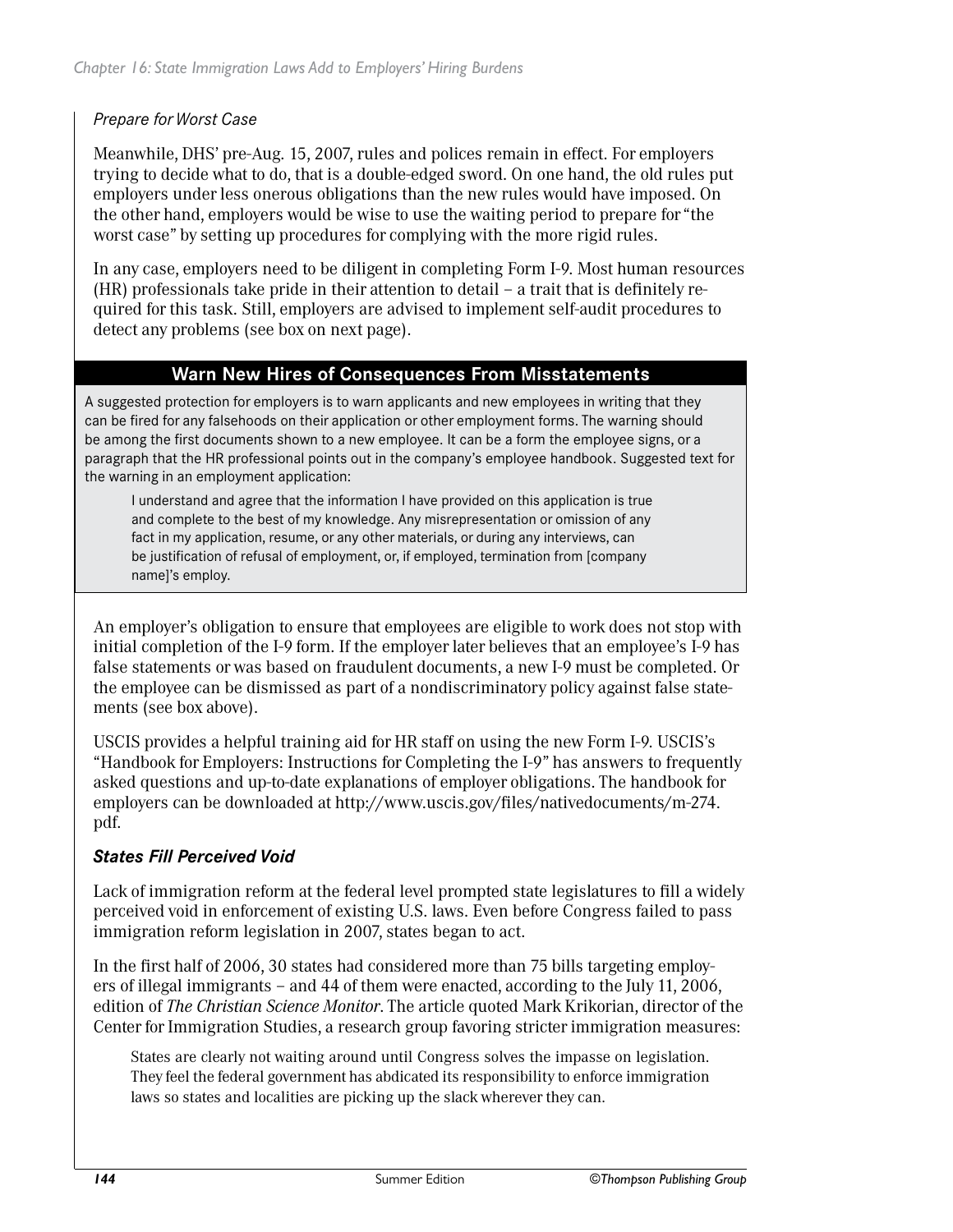# *Prepare for Worst Case*

Meanwhile, DHS' pre-Aug. 15, 2007, rules and polices remain in effect. For employers trying to decide what to do, that is a double-edged sword. On one hand, the old rules put employers under less onerous obligations than the new rules would have imposed. On the other hand, employers would be wise to use the waiting period to prepare for "the worst case" by setting up procedures for complying with the more rigid rules.

In any case, employers need to be diligent in completing Form I-9. Most human resources (HR) professionals take pride in their attention to detail — a trait that is definitely required for this task. Still, employers are advised to implement self-audit procedures to detect any problems (see box on next page).

# **Warn New Hires of Consequences From Misstatements**

A suggested protection for employers is to warn applicants and new employees in writing that they can be fired for any falsehoods on their application or other employment forms. The warning should be among the first documents shown to a new employee. It can be a form the employee signs, or a paragraph that the HR professional points out in the company's employee handbook. Suggested text for the warning in an employment application:

I understand and agree that the information I have provided on this application is true and complete to the best of my knowledge. Any misrepresentation or omission of any fact in my application, resume, or any other materials, or during any interviews, can be justification of refusal of employment, or, if employed, termination from [company name]'s employ.

An employer's obligation to ensure that employees are eligible to work does not stop with initial completion of the I-9 form. If the employer later believes that an employee's I-9 has false statements or was based on fraudulent documents, a new I-9 must be completed. Or the employee can be dismissed as part of a nondiscriminatory policy against false statements (see box above).

USCIS provides a helpful training aid for HR staff on using the new Form I-9. USCIS's "Handbook for Employers: Instructions for Completing the I-9" has answers to frequently asked questions and up-to-date explanations of employer obligations. The handbook for employers can be downloaded at http://www.uscis.gov/files/nativedocuments/m-274. pdf.

# *States Fill Perceived Void*

Lack of immigration reform at the federal level prompted state legislatures to fill a widely perceived void in enforcement of existing U.S. laws. Even before Congress failed to pass immigration reform legislation in 2007, states began to act.

In the first half of 2006, 30 states had considered more than 75 bills targeting employers of illegal immigrants — and 44 of them were enacted, according to the July 11, 2006, edition of *The Christian Science Monitor*. The article quoted Mark Krikorian, director of the Center for Immigration Studies, a research group favoring stricter immigration measures:

States are clearly not waiting around until Congress solves the impasse on legislation. They feel the federal government has abdicated its responsibility to enforce immigration laws so states and localities are picking up the slack wherever they can.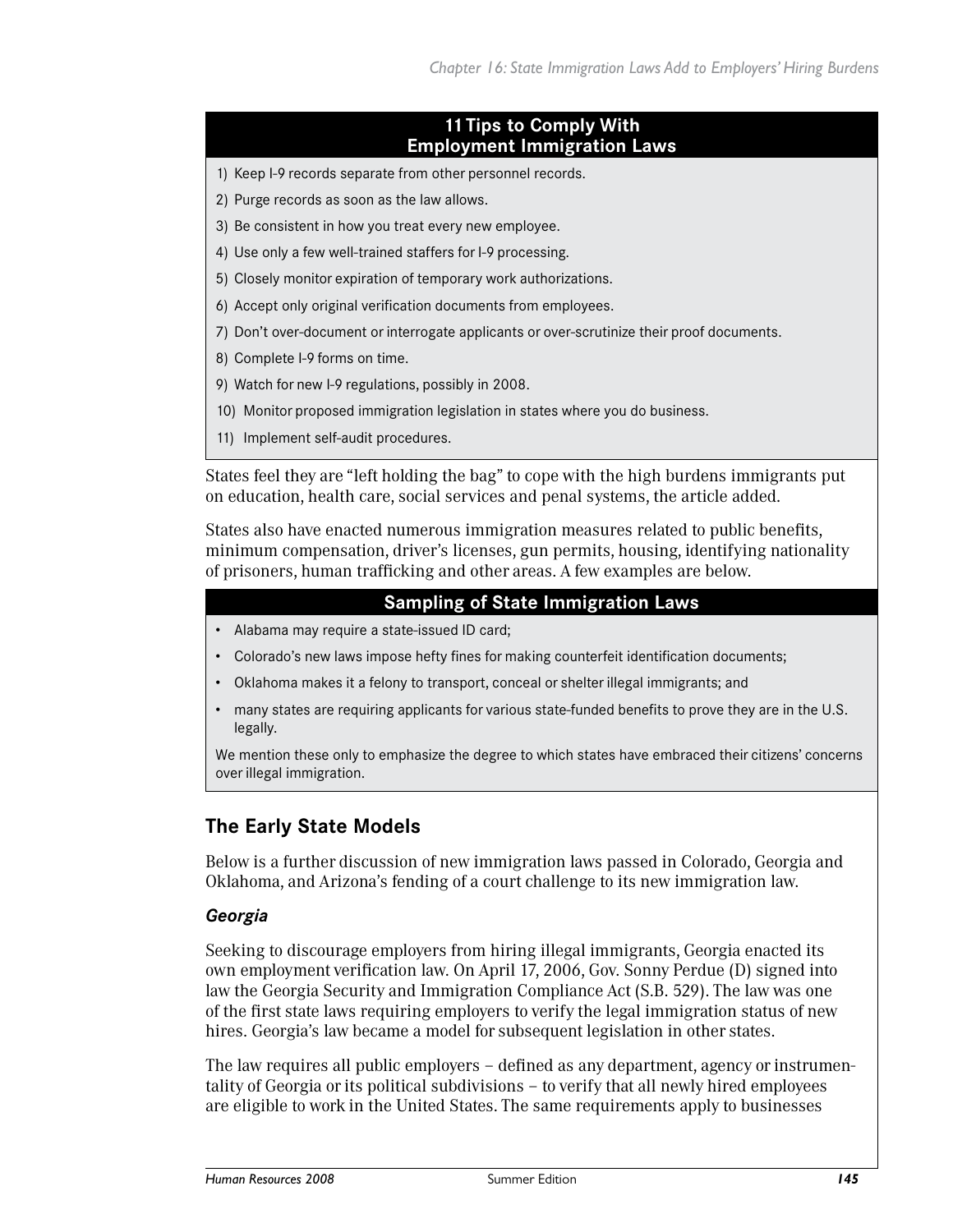## **11 Tips to Comply With Employment Immigration Laws**

- 1) Keep I-9 records separate from other personnel records.
- 2) Purge records as soon as the law allows.
- 3) Be consistent in how you treat every new employee.
- 4) Use only a few well-trained staffers for I-9 processing.
- 5) Closely monitor expiration of temporary work authorizations.
- 6) Accept only original verification documents from employees.
- 7) Don't over-document or interrogate applicants or over-scrutinize their proof documents.
- 8) Complete I-9 forms on time.
- 9) Watch for new I-9 regulations, possibly in 2008.
- 10) Monitor proposed immigration legislation in states where you do business.
- 11) Implement self-audit procedures.

States feel they are "left holding the bag" to cope with the high burdens immigrants put on education, health care, social services and penal systems, the article added.

States also have enacted numerous immigration measures related to public benefits, minimum compensation, driver's licenses, gun permits, housing, identifying nationality of prisoners, human trafficking and other areas. A few examples are below.

#### **Sampling of State Immigration Laws**

- Alabama may require a state-issued ID card;
- Colorado's new laws impose hefty fines for making counterfeit identification documents;
- Oklahoma makes it a felony to transport, conceal or shelter illegal immigrants; and
- many states are requiring applicants for various state-funded benefits to prove they are in the U.S. legally.

We mention these only to emphasize the degree to which states have embraced their citizens' concerns over illegal immigration.

# **The Early State Models**

Below is a further discussion of new immigration laws passed in Colorado, Georgia and Oklahoma, and Arizona's fending of a court challenge to its new immigration law.

#### *Georgia*

Seeking to discourage employers from hiring illegal immigrants, Georgia enacted its own employment verification law. On April 17, 2006, Gov. Sonny Perdue (D) signed into law the Georgia Security and Immigration Compliance Act (S.B. 529). The law was one of the first state laws requiring employers to verify the legal immigration status of new hires. Georgia's law became a model for subsequent legislation in other states.

The law requires all public employers — defined as any department, agency or instrumentality of Georgia or its political subdivisions — to verify that all newly hired employees are eligible to work in the United States. The same requirements apply to businesses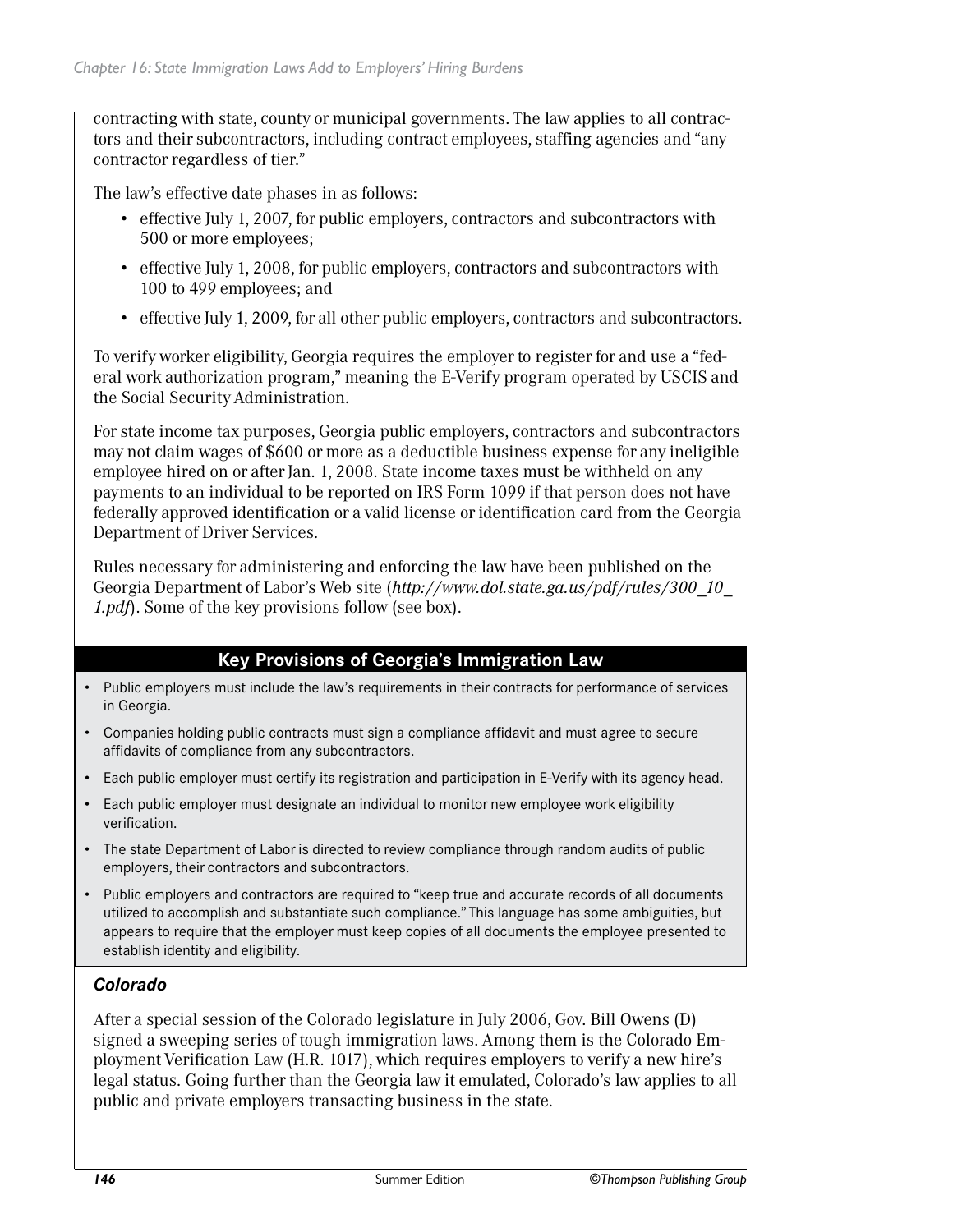contracting with state, county or municipal governments. The law applies to all contractors and their subcontractors, including contract employees, staffing agencies and "any contractor regardless of tier."

The law's effective date phases in as follows:

- effective July 1, 2007, for public employers, contractors and subcontractors with 500 or more employees;
- effective July 1, 2008, for public employers, contractors and subcontractors with 100 to 499 employees; and
- effective July 1, 2009, for all other public employers, contractors and subcontractors.

To verify worker eligibility, Georgia requires the employer to register for and use a "federal work authorization program," meaning the E-Verify program operated by USCIS and the Social Security Administration.

For state income tax purposes, Georgia public employers, contractors and subcontractors may not claim wages of \$600 or more as a deductible business expense for any ineligible employee hired on or after Jan. 1, 2008. State income taxes must be withheld on any payments to an individual to be reported on IRS Form 1099 if that person does not have federally approved identification or a valid license or identification card from the Georgia Department of Driver Services.

Rules necessary for administering and enforcing the law have been published on the Georgia Department of Labor's Web site (*http://www.dol.state.ga.us/pdf/rules/300\_10\_ 1.pdf*). Some of the key provisions follow (see box).

# **Key Provisions of Georgia's Immigration Law**

- Public employers must include the law's requirements in their contracts for performance of services in Georgia.
- Companies holding public contracts must sign a compliance affidavit and must agree to secure affidavits of compliance from any subcontractors.
- Each public employer must certify its registration and participation in E-Verify with its agency head.
- Each public employer must designate an individual to monitor new employee work eligibility verification.
- The state Department of Labor is directed to review compliance through random audits of public employers, their contractors and subcontractors.
- Public employers and contractors are required to "keep true and accurate records of all documents utilized to accomplish and substantiate such compliance." This language has some ambiguities, but appears to require that the employer must keep copies of all documents the employee presented to establish identity and eligibility.

## *Colorado*

After a special session of the Colorado legislature in July 2006, Gov. Bill Owens (D) signed a sweeping series of tough immigration laws. Among them is the Colorado Employment Verification Law (H.R. 1017), which requires employers to verify a new hire's legal status. Going further than the Georgia law it emulated, Colorado's law applies to all public and private employers transacting business in the state.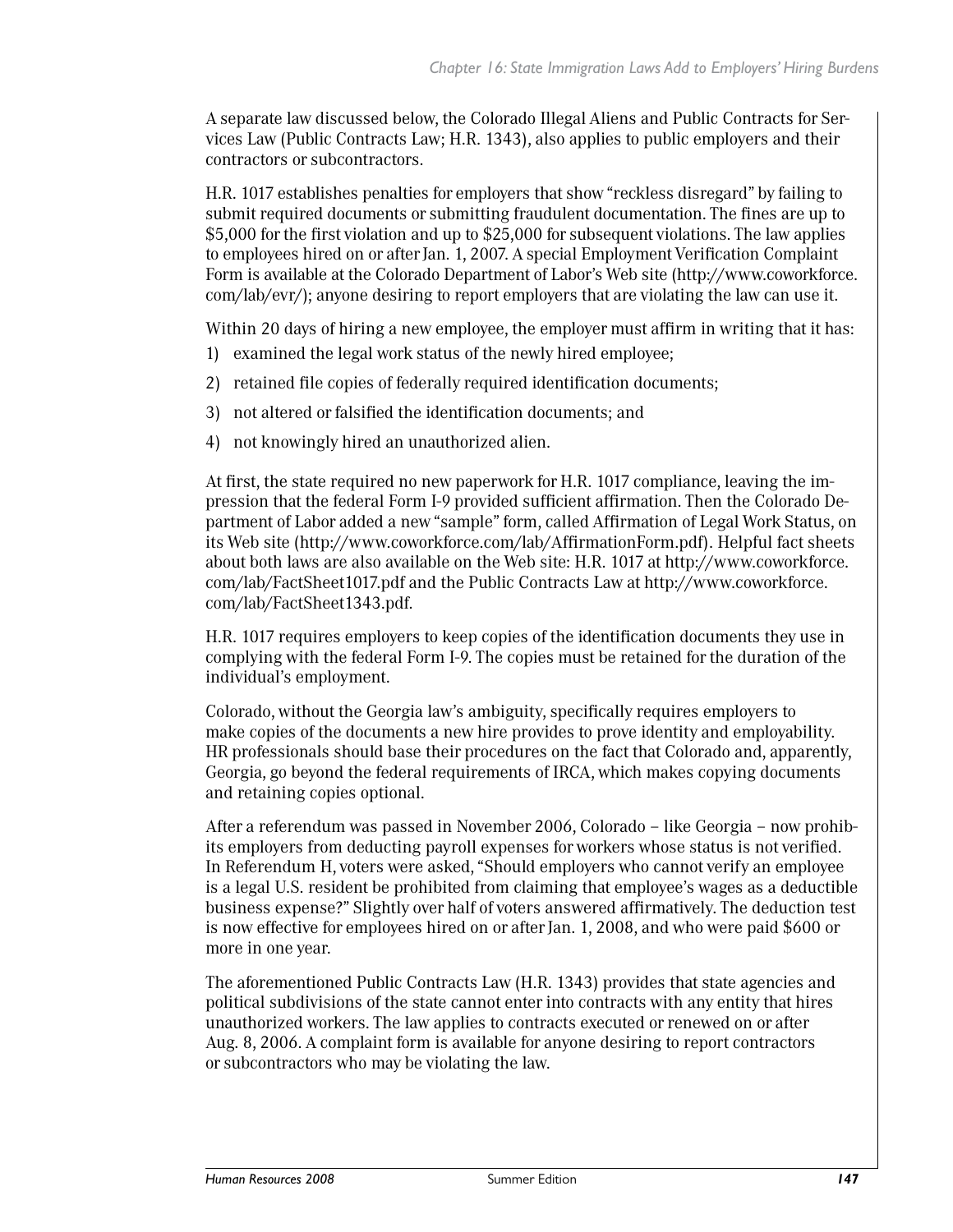A separate law discussed below, the Colorado Illegal Aliens and Public Contracts for Services Law (Public Contracts Law; H.R. 1343), also applies to public employers and their contractors or subcontractors.

H.R. 1017 establishes penalties for employers that show "reckless disregard" by failing to submit required documents or submitting fraudulent documentation. The fines are up to \$5,000 for the first violation and up to \$25,000 for subsequent violations. The law applies to employees hired on or after Jan. 1, 2007. A special Employment Verification Complaint Form is available at the Colorado Department of Labor's Web site (http://www.coworkforce. com/lab/evr/); anyone desiring to report employers that are violating the law can use it.

Within 20 days of hiring a new employee, the employer must affirm in writing that it has:

- 1) examined the legal work status of the newly hired employee;
- 2) retained file copies of federally required identification documents;
- 3) not altered or falsified the identification documents; and
- 4) not knowingly hired an unauthorized alien.

At first, the state required no new paperwork for H.R. 1017 compliance, leaving the impression that the federal Form I-9 provided sufficient affirmation. Then the Colorado Department of Labor added a new "sample" form, called Affirmation of Legal Work Status, on its Web site (http://www.coworkforce.com/lab/AffirmationForm.pdf). Helpful fact sheets about both laws are also available on the Web site: H.R. 1017 at http://www.coworkforce. com/lab/FactSheet1017.pdf and the Public Contracts Law at http://www.coworkforce. com/lab/FactSheet1343.pdf.

H.R. 1017 requires employers to keep copies of the identification documents they use in complying with the federal Form I-9. The copies must be retained for the duration of the individual's employment.

Colorado, without the Georgia law's ambiguity, specifically requires employers to make copies of the documents a new hire provides to prove identity and employability. HR professionals should base their procedures on the fact that Colorado and, apparently, Georgia, go beyond the federal requirements of IRCA, which makes copying documents and retaining copies optional.

After a referendum was passed in November 2006, Colorado — like Georgia — now prohibits employers from deducting payroll expenses for workers whose status is not verified. In Referendum H, voters were asked, "Should employers who cannot verify an employee is a legal U.S. resident be prohibited from claiming that employee's wages as a deductible business expense?" Slightly over half of voters answered affirmatively. The deduction test is now effective for employees hired on or after Jan. 1, 2008, and who were paid \$600 or more in one year.

The aforementioned Public Contracts Law (H.R. 1343) provides that state agencies and political subdivisions of the state cannot enter into contracts with any entity that hires unauthorized workers. The law applies to contracts executed or renewed on or after Aug. 8, 2006. A complaint form is available for anyone desiring to report contractors or subcontractors who may be violating the law.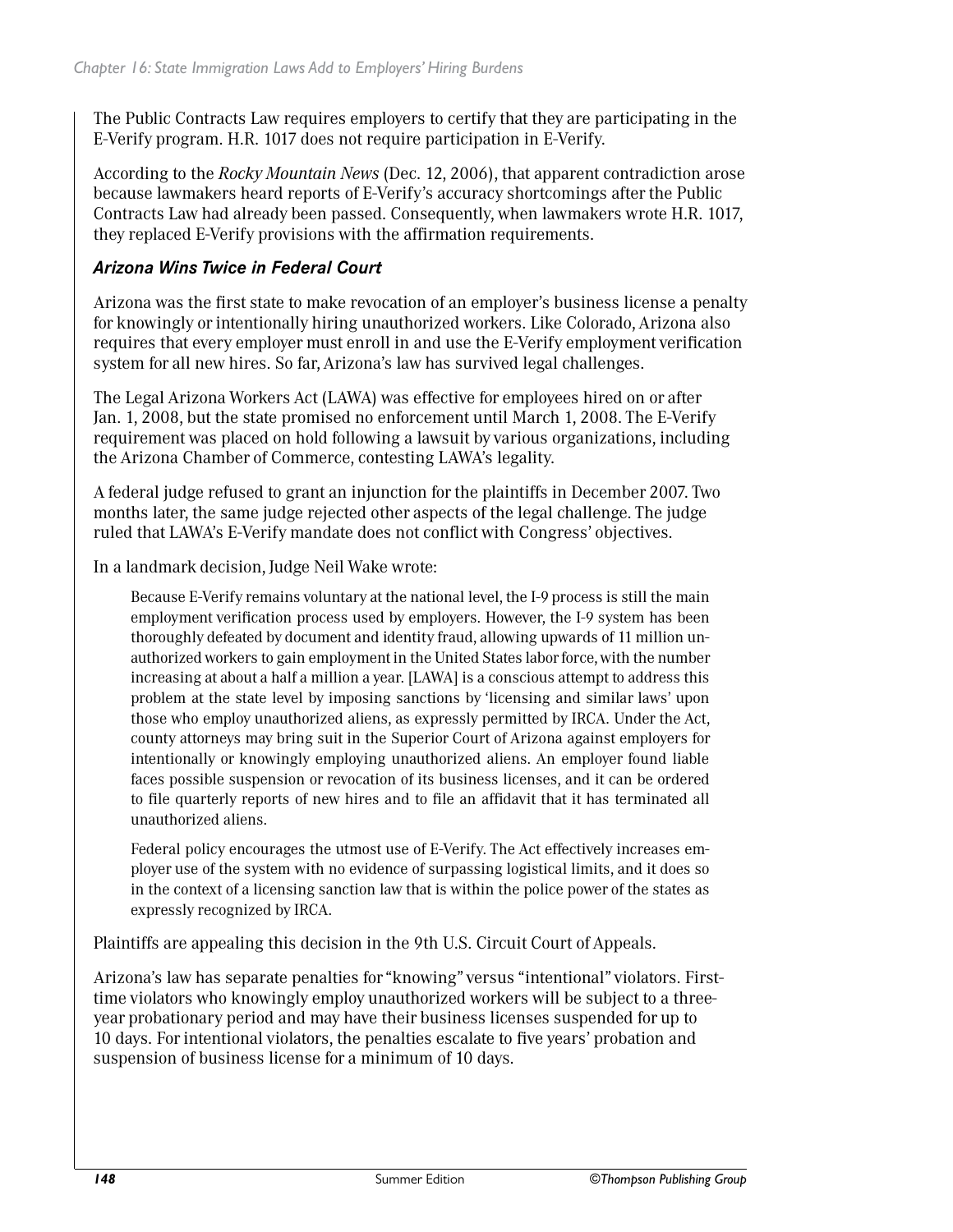The Public Contracts Law requires employers to certify that they are participating in the E-Verify program. H.R. 1017 does not require participation in E-Verify.

According to the *Rocky Mountain News* (Dec. 12, 2006), that apparent contradiction arose because lawmakers heard reports of E-Verify's accuracy shortcomings after the Public Contracts Law had already been passed. Consequently, when lawmakers wrote H.R. 1017, they replaced E-Verify provisions with the affirmation requirements.

## *Arizona Wins Twice in Federal Court*

Arizona was the first state to make revocation of an employer's business license a penalty for knowingly or intentionally hiring unauthorized workers. Like Colorado, Arizona also requires that every employer must enroll in and use the E-Verify employment verification system for all new hires. So far, Arizona's law has survived legal challenges.

The Legal Arizona Workers Act (LAWA) was effective for employees hired on or after Jan. 1, 2008, but the state promised no enforcement until March 1, 2008. The E-Verify requirement was placed on hold following a lawsuit by various organizations, including the Arizona Chamber of Commerce, contesting LAWA's legality.

A federal judge refused to grant an injunction for the plaintiffs in December 2007. Two months later, the same judge rejected other aspects of the legal challenge. The judge ruled that LAWA's E-Verify mandate does not conflict with Congress' objectives.

In a landmark decision, Judge Neil Wake wrote:

Because E-Verify remains voluntary at the national level, the I-9 process is still the main employment verification process used by employers. However, the I-9 system has been thoroughly defeated by document and identity fraud, allowing upwards of 11 million unauthorized workers to gain employment in the United States labor force, with the number increasing at about a half a million a year. [LAWA] is a conscious attempt to address this problem at the state level by imposing sanctions by 'licensing and similar laws' upon those who employ unauthorized aliens, as expressly permitted by IRCA. Under the Act, county attorneys may bring suit in the Superior Court of Arizona against employers for intentionally or knowingly employing unauthorized aliens. An employer found liable faces possible suspension or revocation of its business licenses, and it can be ordered to file quarterly reports of new hires and to file an affidavit that it has terminated all unauthorized aliens.

Federal policy encourages the utmost use of E-Verify. The Act effectively increases employer use of the system with no evidence of surpassing logistical limits, and it does so in the context of a licensing sanction law that is within the police power of the states as expressly recognized by IRCA.

Plaintiffs are appealing this decision in the 9th U.S. Circuit Court of Appeals.

Arizona's law has separate penalties for "knowing" versus "intentional" violators. Firsttime violators who knowingly employ unauthorized workers will be subject to a threeyear probationary period and may have their business licenses suspended for up to 10 days. For intentional violators, the penalties escalate to five years' probation and suspension of business license for a minimum of 10 days.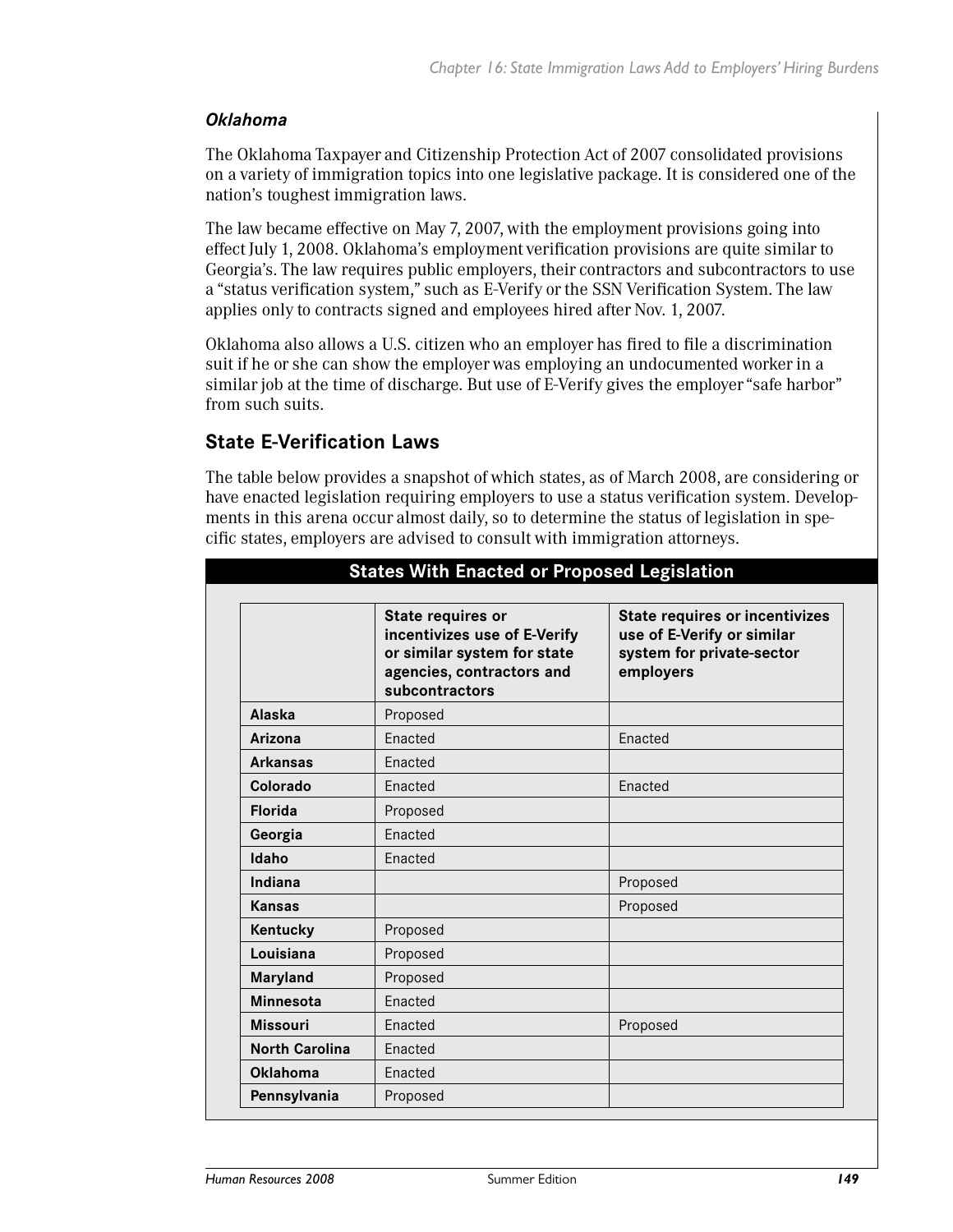# *Oklahoma*

The Oklahoma Taxpayer and Citizenship Protection Act of 2007 consolidated provisions on a variety of immigration topics into one legislative package. It is considered one of the nation's toughest immigration laws.

The law became effective on May 7, 2007, with the employment provisions going into effect July 1, 2008. Oklahoma's employment verification provisions are quite similar to Georgia's. The law requires public employers, their contractors and subcontractors to use a "status verification system," such as E-Verify or the SSN Verification System. The law applies only to contracts signed and employees hired after Nov. 1, 2007.

Oklahoma also allows a U.S. citizen who an employer has fired to file a discrimination suit if he or she can show the employer was employing an undocumented worker in a similar job at the time of discharge. But use of E-Verify gives the employer "safe harbor" from such suits.

# **State E-Verification Laws**

The table below provides a snapshot of which states, as of March 2008, are considering or have enacted legislation requiring employers to use a status verification system. Developments in this arena occur almost daily, so to determine the status of legislation in specific states, employers are advised to consult with immigration attorneys.

|                       | State requires or<br>incentivizes use of E-Verify<br>or similar system for state<br>agencies, contractors and<br>subcontractors | <b>State requires or incentivizes</b><br>use of E-Verify or similar<br>system for private-sector<br>employers |
|-----------------------|---------------------------------------------------------------------------------------------------------------------------------|---------------------------------------------------------------------------------------------------------------|
| Alaska                | Proposed                                                                                                                        |                                                                                                               |
| Arizona               | <b>Fnacted</b>                                                                                                                  | Enacted                                                                                                       |
| <b>Arkansas</b>       | Enacted                                                                                                                         |                                                                                                               |
| Colorado              | Enacted                                                                                                                         | Enacted                                                                                                       |
| <b>Florida</b>        | Proposed                                                                                                                        |                                                                                                               |
| Georgia               | Enacted                                                                                                                         |                                                                                                               |
| Idaho                 | Enacted                                                                                                                         |                                                                                                               |
| Indiana               |                                                                                                                                 | Proposed                                                                                                      |
| <b>Kansas</b>         |                                                                                                                                 | Proposed                                                                                                      |
| Kentucky              | Proposed                                                                                                                        |                                                                                                               |
| Louisiana             | Proposed                                                                                                                        |                                                                                                               |
| Maryland              | Proposed                                                                                                                        |                                                                                                               |
| Minnesota             | Enacted                                                                                                                         |                                                                                                               |
| <b>Missouri</b>       | Enacted                                                                                                                         | Proposed                                                                                                      |
| <b>North Carolina</b> | Enacted                                                                                                                         |                                                                                                               |
| Oklahoma              | Enacted                                                                                                                         |                                                                                                               |
| Pennsylvania          | Proposed                                                                                                                        |                                                                                                               |

# **States With Enacted or Proposed Legislation**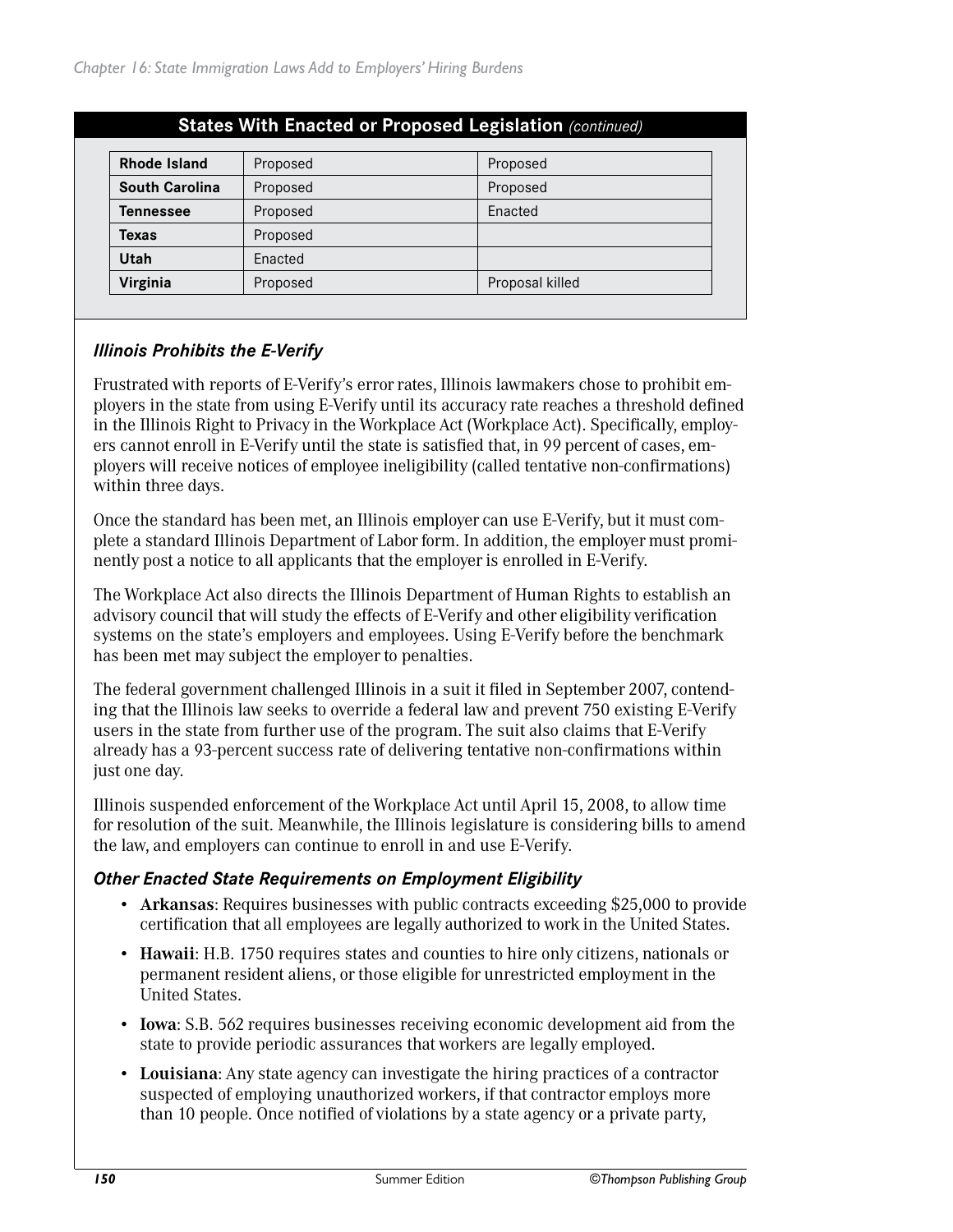| <b>States With Enacted or Proposed Legislation (continued)</b> |          |                 |  |  |  |
|----------------------------------------------------------------|----------|-----------------|--|--|--|
| Rhode Island                                                   | Proposed | Proposed        |  |  |  |
| <b>South Carolina</b>                                          | Proposed | Proposed        |  |  |  |
| Tennessee                                                      | Proposed | Enacted         |  |  |  |
| Texas                                                          | Proposed |                 |  |  |  |
| <b>Utah</b>                                                    | Enacted  |                 |  |  |  |
| Virginia                                                       | Proposed | Proposal killed |  |  |  |

# *Illinois Prohibits the E-Verify*

Frustrated with reports of E-Verify's error rates, Illinois lawmakers chose to prohibit employers in the state from using E-Verify until its accuracy rate reaches a threshold defined in the Illinois Right to Privacy in the Workplace Act (Workplace Act). Specifically, employers cannot enroll in E-Verify until the state is satisfied that, in 99 percent of cases, employers will receive notices of employee ineligibility (called tentative non-confirmations) within three days.

Once the standard has been met, an Illinois employer can use E-Verify, but it must complete a standard Illinois Department of Labor form. In addition, the employer must prominently post a notice to all applicants that the employer is enrolled in E-Verify.

The Workplace Act also directs the Illinois Department of Human Rights to establish an advisory council that will study the effects of E-Verify and other eligibility verification systems on the state's employers and employees. Using E-Verify before the benchmark has been met may subject the employer to penalties.

The federal government challenged Illinois in a suit it filed in September 2007, contending that the Illinois law seeks to override a federal law and prevent 750 existing E-Verify users in the state from further use of the program. The suit also claims that E-Verify already has a 93-percent success rate of delivering tentative non-confirmations within just one day.

Illinois suspended enforcement of the Workplace Act until April 15, 2008, to allow time for resolution of the suit. Meanwhile, the Illinois legislature is considering bills to amend the law, and employers can continue to enroll in and use E-Verify.

## *Other Enacted State Requirements on Employment Eligibility*

- **Arkansas:** Requires businesses with public contracts exceeding \$25,000 to provide certification that all employees are legally authorized to work in the United States.
- **Hawaii**: H.B. 1750 requires states and counties to hire only citizens, nationals or permanent resident aliens, or those eligible for unrestricted employment in the United States.
- **Iowa**: S.B. 562 requires businesses receiving economic development aid from the state to provide periodic assurances that workers are legally employed.
- **Louisiana**: Any state agency can investigate the hiring practices of a contractor suspected of employing unauthorized workers, if that contractor employs more than 10 people. Once notified of violations by a state agency or a private party,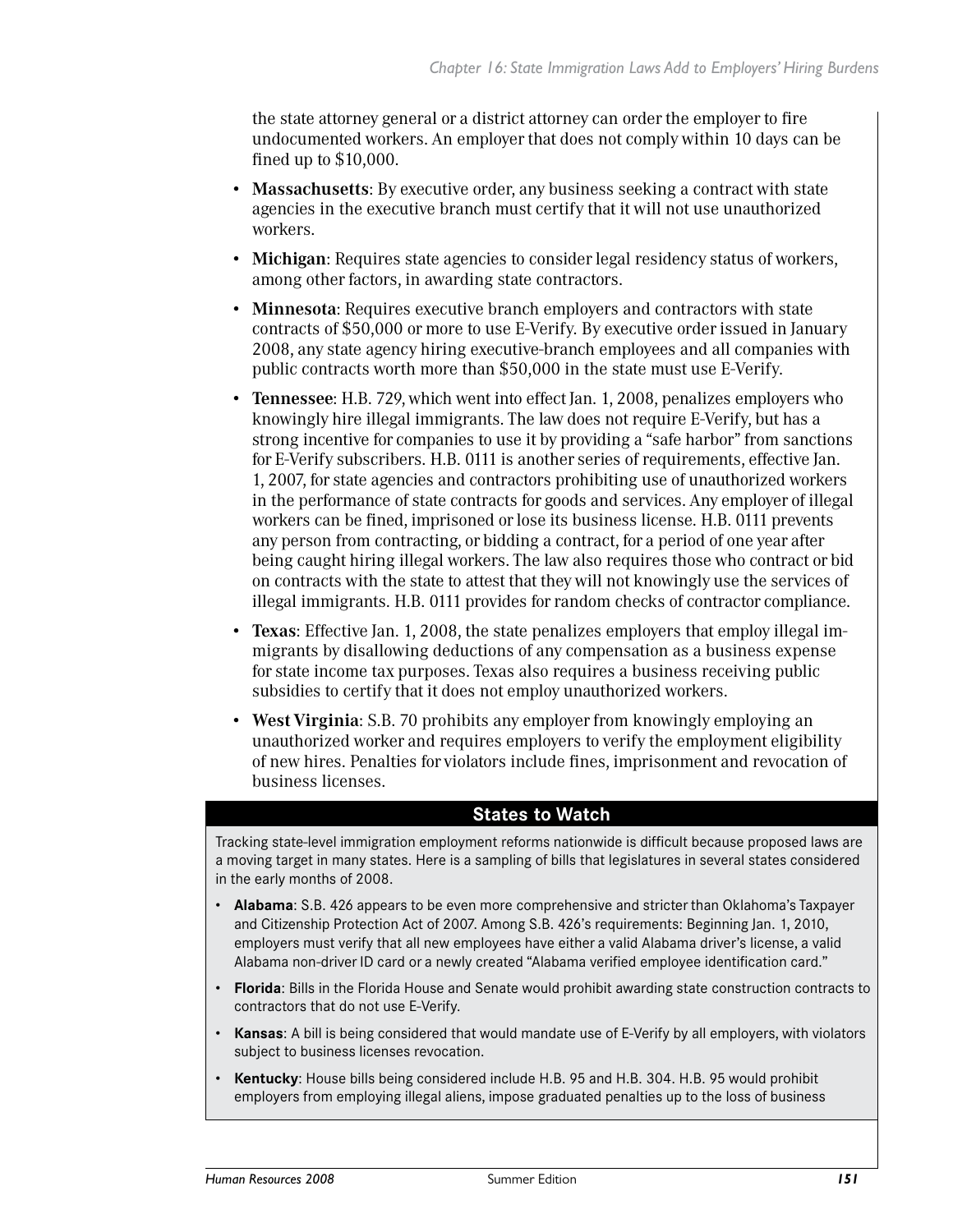the state attorney general or a district attorney can order the employer to fire undocumented workers. An employer that does not comply within 10 days can be fined up to \$10,000.

- **Massachusetts**: By executive order, any business seeking a contract with state agencies in the executive branch must certify that it will not use unauthorized workers.
- **Michigan**: Requires state agencies to consider legal residency status of workers, among other factors, in awarding state contractors.
- **Minnesota**: Requires executive branch employers and contractors with state contracts of \$50,000 or more to use E-Verify. By executive order issued in January 2008, any state agency hiring executive-branch employees and all companies with public contracts worth more than \$50,000 in the state must use E-Verify.
- **Tennessee**: H.B. 729, which went into effect Jan. 1, 2008, penalizes employers who knowingly hire illegal immigrants. The law does not require E-Verify, but has a strong incentive for companies to use it by providing a "safe harbor" from sanctions for E-Verify subscribers. H.B. 0111 is another series of requirements, effective Jan. 1, 2007, for state agencies and contractors prohibiting use of unauthorized workers in the performance of state contracts for goods and services. Any employer of illegal workers can be fined, imprisoned or lose its business license. H.B. 0111 prevents any person from contracting, or bidding a contract, for a period of one year after being caught hiring illegal workers. The law also requires those who contract or bid on contracts with the state to attest that they will not knowingly use the services of illegal immigrants. H.B. 0111 provides for random checks of contractor compliance. •
- **Texas**: Effective Jan. 1, 2008, the state penalizes employers that employ illegal im-• migrants by disallowing deductions of any compensation as a business expense for state income tax purposes. Texas also requires a business receiving public subsidies to certify that it does not employ unauthorized workers.
- **West Virginia**: S.B. 70 prohibits any employer from knowingly employing an unauthorized worker and requires employers to verify the employment eligibility of new hires. Penalties for violators include fines, imprisonment and revocation of business licenses.

# **States to Watch**

Tracking state-level immigration employment reforms nationwide is difficult because proposed laws are a moving target in many states. Here is a sampling of bills that legislatures in several states considered in the early months of 2008.

- **Alabama**: S.B. 426 appears to be even more comprehensive and stricter than Oklahoma's Taxpayer and Citizenship Protection Act of 2007. Among S.B. 426's requirements: Beginning Jan. 1, 2010, employers must verify that all new employees have either a valid Alabama driver's license, a valid Alabama non-driver ID card or a newly created "Alabama verified employee identification card."
- **Florida**: Bills in the Florida House and Senate would prohibit awarding state construction contracts to contractors that do not use E-Verify.
- **Kansas**: A bill is being considered that would mandate use of E-Verify by all employers, with violators subject to business licenses revocation.
- **Kentucky**: House bills being considered include H.B. 95 and H.B. 304. H.B. 95 would prohibit employers from employing illegal aliens, impose graduated penalties up to the loss of business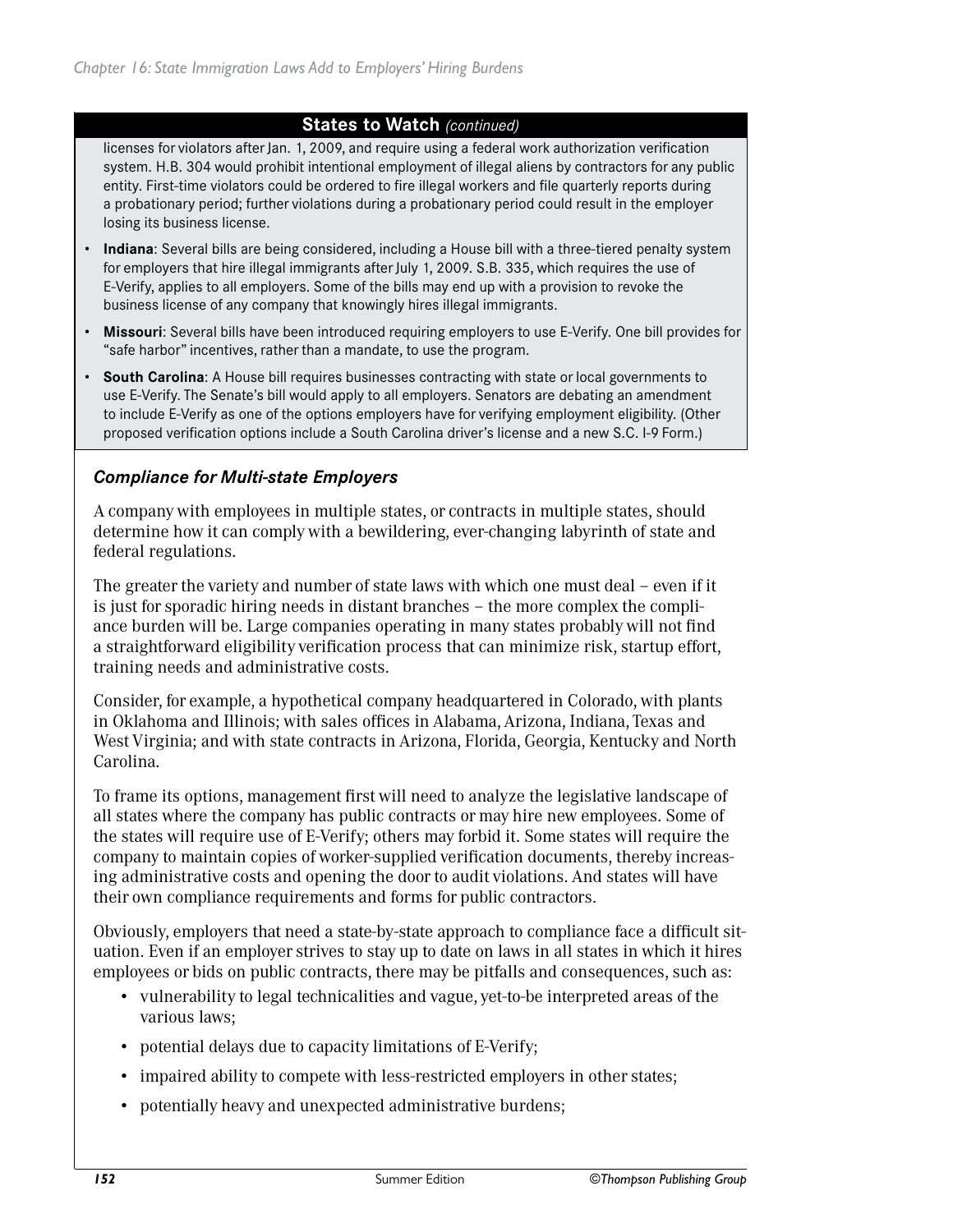## **States to Watch** *(continued)*

licenses for violators after Jan. 1, 2009, and require using a federal work authorization verification system. H.B. 304 would prohibit intentional employment of illegal aliens by contractors for any public entity. First-time violators could be ordered to fire illegal workers and file quarterly reports during a probationary period; further violations during a probationary period could result in the employer losing its business license.

- **Indiana**: Several bills are being considered, including a House bill with a three-tiered penalty system for employers that hire illegal immigrants after July 1, 2009. S.B. 335, which requires the use of E-Verify, applies to all employers. Some of the bills may end up with a provision to revoke the business license of any company that knowingly hires illegal immigrants.
- **Missouri**: Several bills have been introduced requiring employers to use E-Verify. One bill provides for "safe harbor" incentives, rather than a mandate, to use the program.
- **South Carolina**: A House bill requires businesses contracting with state or local governments to use E-Verify. The Senate's bill would apply to all employers. Senators are debating an amendment to include E-Verify as one of the options employers have for verifying employment eligibility. (Other proposed verification options include a South Carolina driver's license and a new S.C. I-9 Form.)

## *Compliance for Multi-state Employers*

A company with employees in multiple states, or contracts in multiple states, should determine how it can comply with a bewildering, ever-changing labyrinth of state and federal regulations.

The greater the variety and number of state laws with which one must deal — even if it is just for sporadic hiring needs in distant branches — the more complex the compliance burden will be. Large companies operating in many states probably will not find a straightforward eligibility verification process that can minimize risk, startup effort, training needs and administrative costs.

Consider, for example, a hypothetical company headquartered in Colorado, with plants in Oklahoma and Illinois; with sales offices in Alabama, Arizona, Indiana, Texas and West Virginia; and with state contracts in Arizona, Florida, Georgia, Kentucky and North Carolina.

To frame its options, management first will need to analyze the legislative landscape of all states where the company has public contracts or may hire new employees. Some of the states will require use of E-Verify; others may forbid it. Some states will require the company to maintain copies of worker-supplied verification documents, thereby increasing administrative costs and opening the door to audit violations. And states will have their own compliance requirements and forms for public contractors.

Obviously, employers that need a state-by-state approach to compliance face a difficult situation. Even if an employer strives to stay up to date on laws in all states in which it hires employees or bids on public contracts, there may be pitfalls and consequences, such as:

- vulnerability to legal technicalities and vague, yet-to-be interpreted areas of the various laws;
- potential delays due to capacity limitations of E-Verify; •
- impaired ability to compete with less-restricted employers in other states;
- potentially heavy and unexpected administrative burdens; •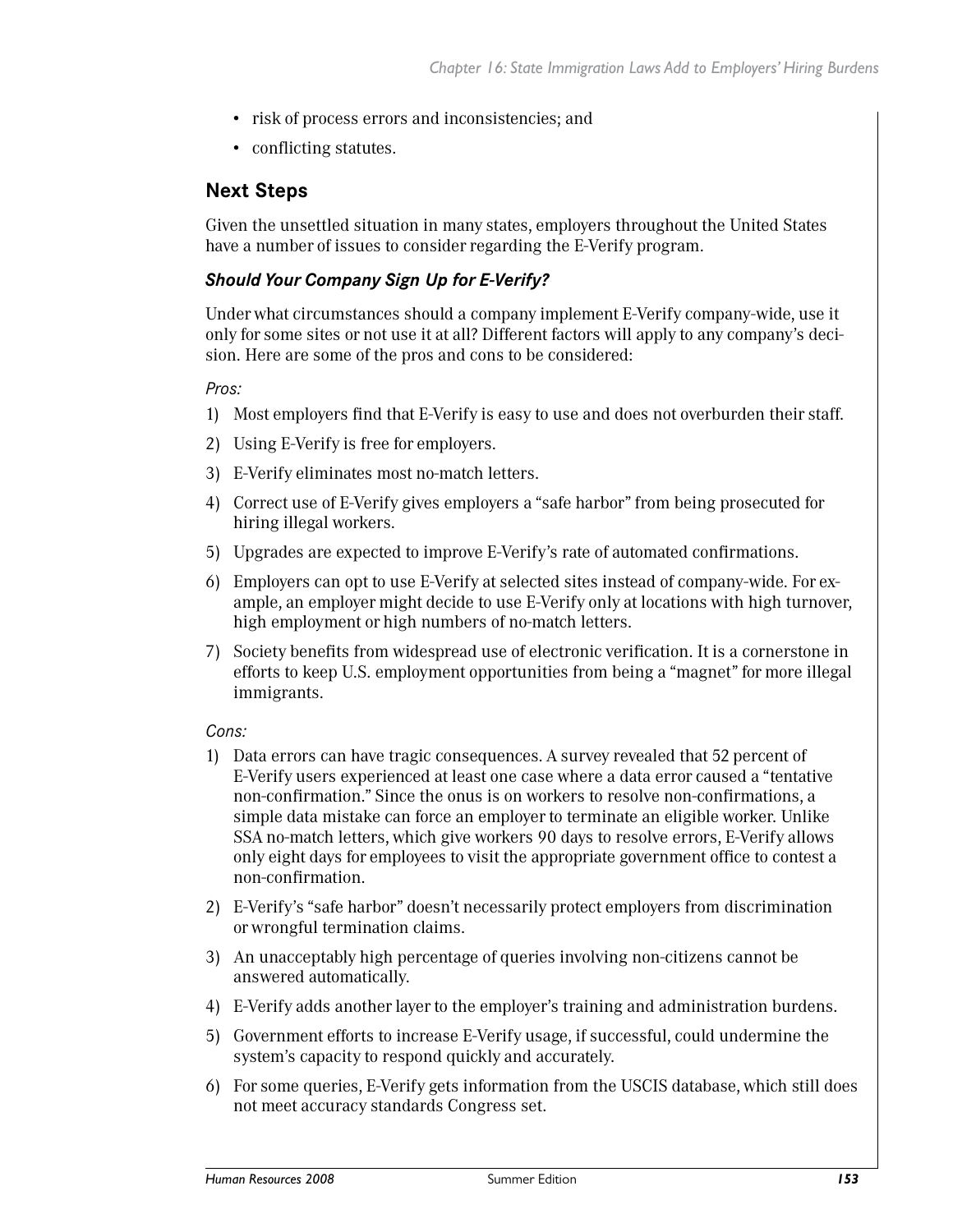- risk of process errors and inconsistencies; and
- conflicting statutes.

# **Next Steps**

Given the unsettled situation in many states, employers throughout the United States have a number of issues to consider regarding the E-Verify program.

## *Should Your Company Sign Up for E-Verify?*

Under what circumstances should a company implement E-Verify company-wide, use it only for some sites or not use it at all? Different factors will apply to any company's decision. Here are some of the pros and cons to be considered:

*Pros:*

- 1) Most employers find that E-Verify is easy to use and does not overburden their staff.
- 2) Using E-Verify is free for employers.
- 3) E-Verify eliminates most no-match letters.
- 4) Correct use of E-Verify gives employers a "safe harbor" from being prosecuted for hiring illegal workers.
- 5) Upgrades are expected to improve E-Verify's rate of automated confirmations.
- 6) Employers can opt to use E-Verify at selected sites instead of company-wide. For example, an employer might decide to use E-Verify only at locations with high turnover, high employment or high numbers of no-match letters.
- 7) Society benefits from widespread use of electronic verification. It is a cornerstone in efforts to keep U.S. employment opportunities from being a "magnet" for more illegal immigrants.

#### *Cons:*

- 1) Data errors can have tragic consequences. A survey revealed that 52 percent of E-Verify users experienced at least one case where a data error caused a "tentative non-confirmation." Since the onus is on workers to resolve non-confirmations, a simple data mistake can force an employer to terminate an eligible worker. Unlike SSA no-match letters, which give workers 90 days to resolve errors, E-Verify allows only eight days for employees to visit the appropriate government office to contest a non-confirmation.
- 2) E-Verify's "safe harbor" doesn't necessarily protect employers from discrimination or wrongful termination claims.
- 3) An unacceptably high percentage of queries involving non-citizens cannot be answered automatically.
- 4) E-Verify adds another layer to the employer's training and administration burdens.
- 5) Government efforts to increase E-Verify usage, if successful, could undermine the system's capacity to respond quickly and accurately.
- 6) For some queries, E-Verify gets information from the USCIS database, which still does not meet accuracy standards Congress set.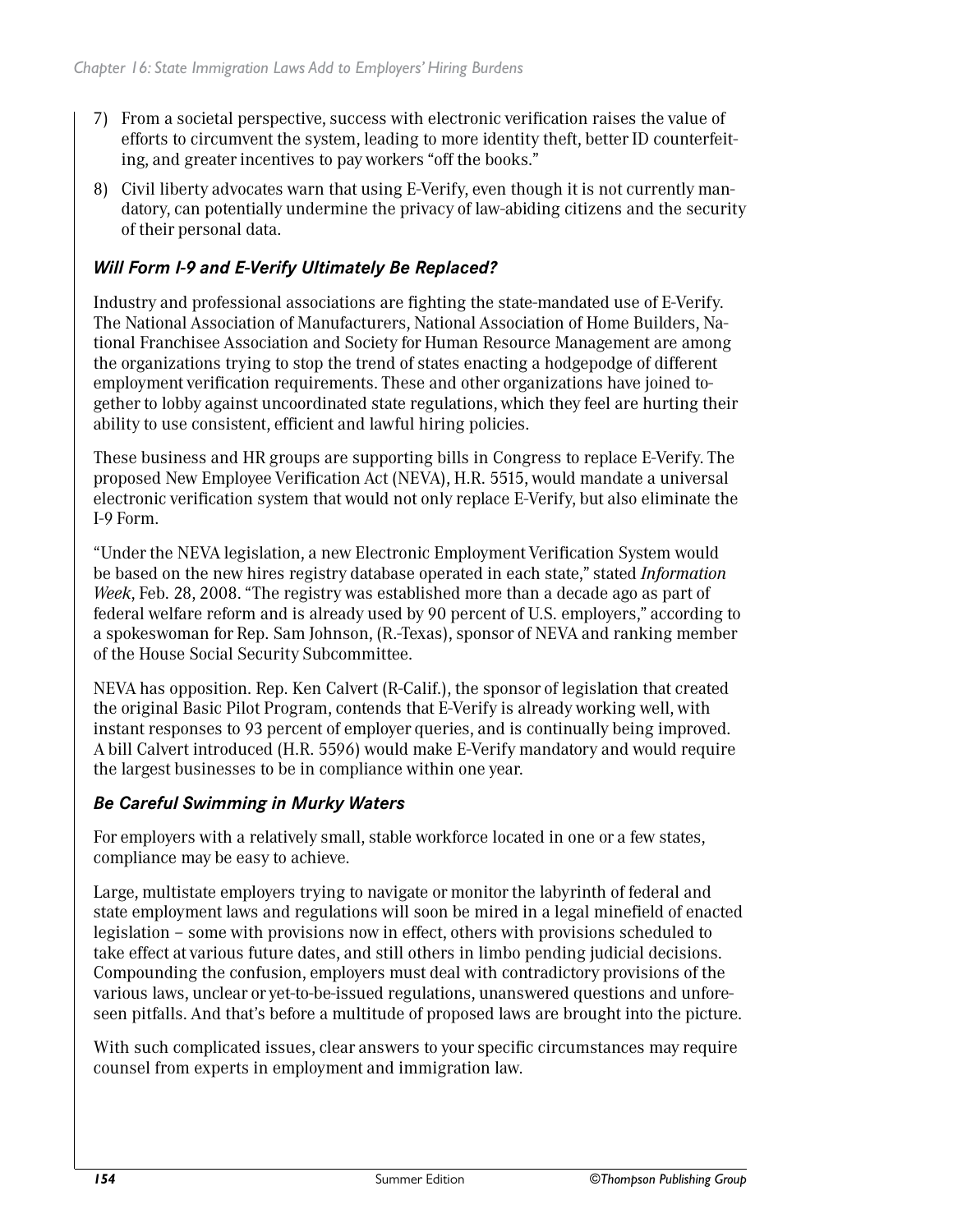- 7) From a societal perspective, success with electronic verification raises the value of efforts to circumvent the system, leading to more identity theft, better ID counterfeiting, and greater incentives to pay workers "off the books."
- 8) Civil liberty advocates warn that using E-Verify, even though it is not currently mandatory, can potentially undermine the privacy of law-abiding citizens and the security of their personal data.

# *Will Form I-9 and E-Verify Ultimately Be Replaced?*

Industry and professional associations are fighting the state-mandated use of E-Verify. The National Association of Manufacturers, National Association of Home Builders, National Franchisee Association and Society for Human Resource Management are among the organizations trying to stop the trend of states enacting a hodgepodge of different employment verification requirements. These and other organizations have joined together to lobby against uncoordinated state regulations, which they feel are hurting their ability to use consistent, efficient and lawful hiring policies.

These business and HR groups are supporting bills in Congress to replace E-Verify. The proposed New Employee Verification Act (NEVA), H.R. 5515, would mandate a universal electronic verification system that would not only replace E-Verify, but also eliminate the I-9 Form.

"Under the NEVA legislation, a new Electronic Employment Verification System would be based on the new hires registry database operated in each state," stated *Information Week*, Feb. 28, 2008. "The registry was established more than a decade ago as part of federal welfare reform and is already used by 90 percent of U.S. employers," according to a spokeswoman for Rep. Sam Johnson, (R.-Texas), sponsor of NEVA and ranking member of the House Social Security Subcommittee.

NEVA has opposition. Rep. Ken Calvert (R-Calif.), the sponsor of legislation that created the original Basic Pilot Program, contends that E-Verify is already working well, with instant responses to 93 percent of employer queries, and is continually being improved. A bill Calvert introduced (H.R. 5596) would make E-Verify mandatory and would require the largest businesses to be in compliance within one year.

## *Be Careful Swimming in Murky Waters*

For employers with a relatively small, stable workforce located in one or a few states, compliance may be easy to achieve.

Large, multistate employers trying to navigate or monitor the labyrinth of federal and state employment laws and regulations will soon be mired in a legal minefield of enacted legislation — some with provisions now in effect, others with provisions scheduled to take effect at various future dates, and still others in limbo pending judicial decisions. Compounding the confusion, employers must deal with contradictory provisions of the various laws, unclear or yet-to-be-issued regulations, unanswered questions and unforeseen pitfalls. And that's before a multitude of proposed laws are brought into the picture.

With such complicated issues, clear answers to your specific circumstances may require counsel from experts in employment and immigration law.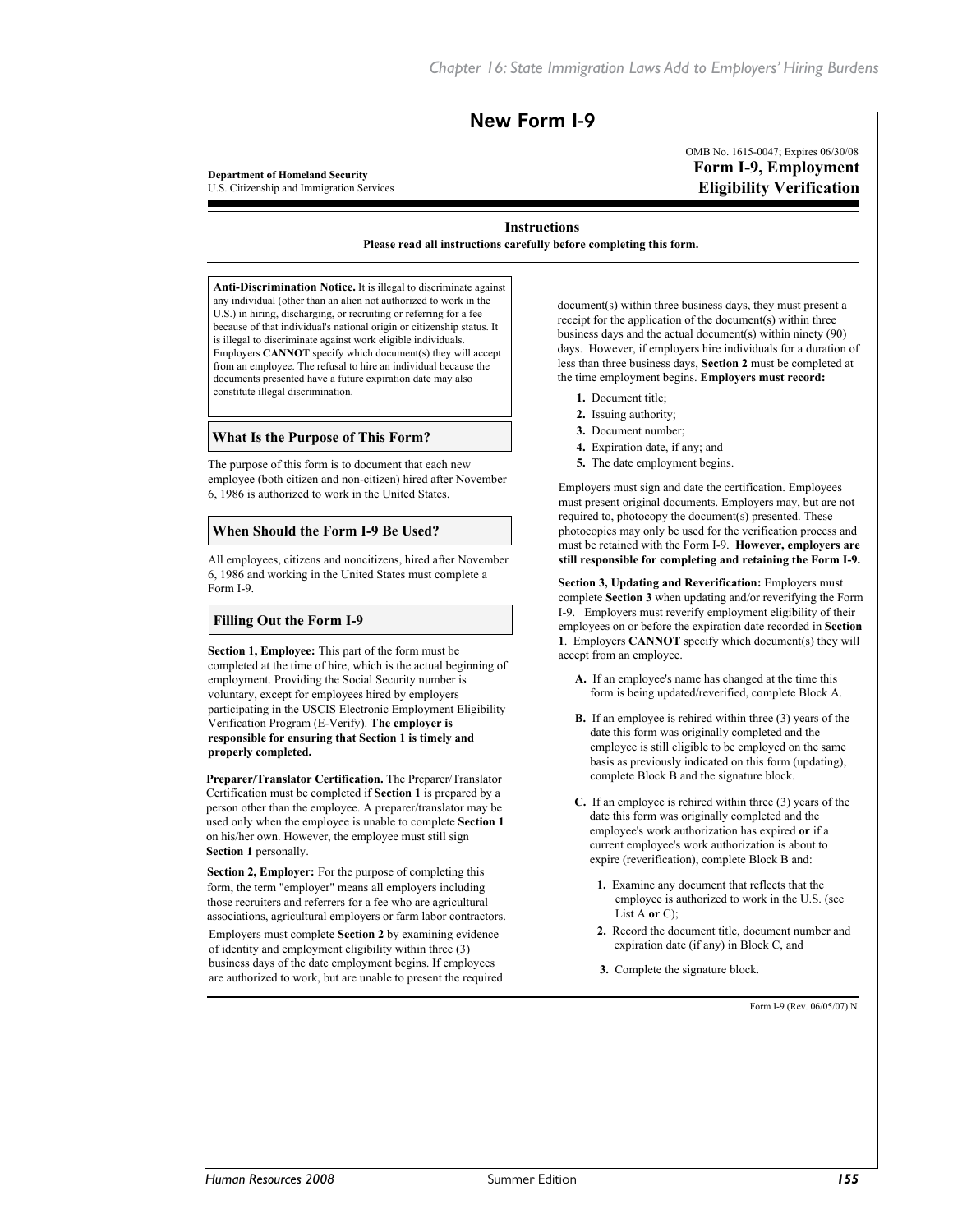# **New Form I-9**

## **Department of Homeland Security**

U.S. Citizenship and Immigration Services

**Form I-9, Employment Eligibility Verification** OMB No. 1615-0047; Expires 06/30/08

#### **Please read all instructions carefully before completing this form. Instructions**

**Anti-Discrimination Notice.** It is illegal to discriminate against any individual (other than an alien not authorized to work in the U.S.) in hiring, discharging, or recruiting or referring for a fee because of that individual's national origin or citizenship status. It is illegal to discriminate against work eligible individuals. Employers **CANNOT** specify which document(s) they will accept from an employee. The refusal to hire an individual because the documents presented have a future expiration date may also constitute illegal discrimination.

#### **What Is the Purpose of This Form?**

The purpose of this form is to document that each new employee (both citizen and non-citizen) hired after November 6, 1986 is authorized to work in the United States.

#### **When Should the Form I-9 Be Used?**

All employees, citizens and noncitizens, hired after November 6, 1986 and working in the United States must complete a Form I-9.

#### **Filling Out the Form I-9**

**Section 1, Employee:** This part of the form must be completed at the time of hire, which is the actual beginning of employment. Providing the Social Security number is voluntary, except for employees hired by employers participating in the USCIS Electronic Employment Eligibility Verification Program (E-Verify). **The employer is responsible for ensuring that Section 1 is timely and properly completed.**

**Preparer/Translator Certification.** The Preparer/Translator Certification must be completed if **Section 1** is prepared by a person other than the employee. A preparer/translator may be used only when the employee is unable to complete **Section 1**  on his/her own. However, the employee must still sign **Section 1** personally.

**Section 2, Employer:** For the purpose of completing this form, the term "employer" means all employers including those recruiters and referrers for a fee who are agricultural associations, agricultural employers or farm labor contractors.

Employers must complete **Section 2** by examining evidence of identity and employment eligibility within three (3) business days of the date employment begins. If employees are authorized to work, but are unable to present the required document(s) within three business days, they must present a receipt for the application of the document(s) within three business days and the actual document(s) within ninety (90) days. However, if employers hire individuals for a duration of less than three business days, **Section 2** must be completed at the time employment begins. **Employers must record:** 

- **1.** Document title;
- **2.** Issuing authority;
- **3.** Document number;
- **4.** Expiration date, if any; and
- **5.** The date employment begins.

Employers must sign and date the certification. Employees must present original documents. Employers may, but are not required to, photocopy the document(s) presented. These photocopies may only be used for the verification process and must be retained with the Form I-9. **However, employers are still responsible for completing and retaining the Form I-9.**

**Section 3, Updating and Reverification:** Employers must complete **Section 3** when updating and/or reverifying the Form I-9. Employers must reverify employment eligibility of their employees on or before the expiration date recorded in **Section 1**. Employers **CANNOT** specify which document(s) they will accept from an employee.

- **A.** If an employee's name has changed at the time this form is being updated/reverified, complete Block A.
- **B.** If an employee is rehired within three (3) years of the date this form was originally completed and the employee is still eligible to be employed on the same basis as previously indicated on this form (updating), complete Block B and the signature block.
- **C.** If an employee is rehired within three (3) years of the date this form was originally completed and the employee's work authorization has expired **or** if a current employee's work authorization is about to expire (reverification), complete Block B and:
	- **1.** Examine any document that reflects that the employee is authorized to work in the U.S. (see List A **or** C);
	- **2.** Record the document title, document number and expiration date (if any) in Block C, and
	- **3.** Complete the signature block.

Form I-9 (Rev. 06/05/07) N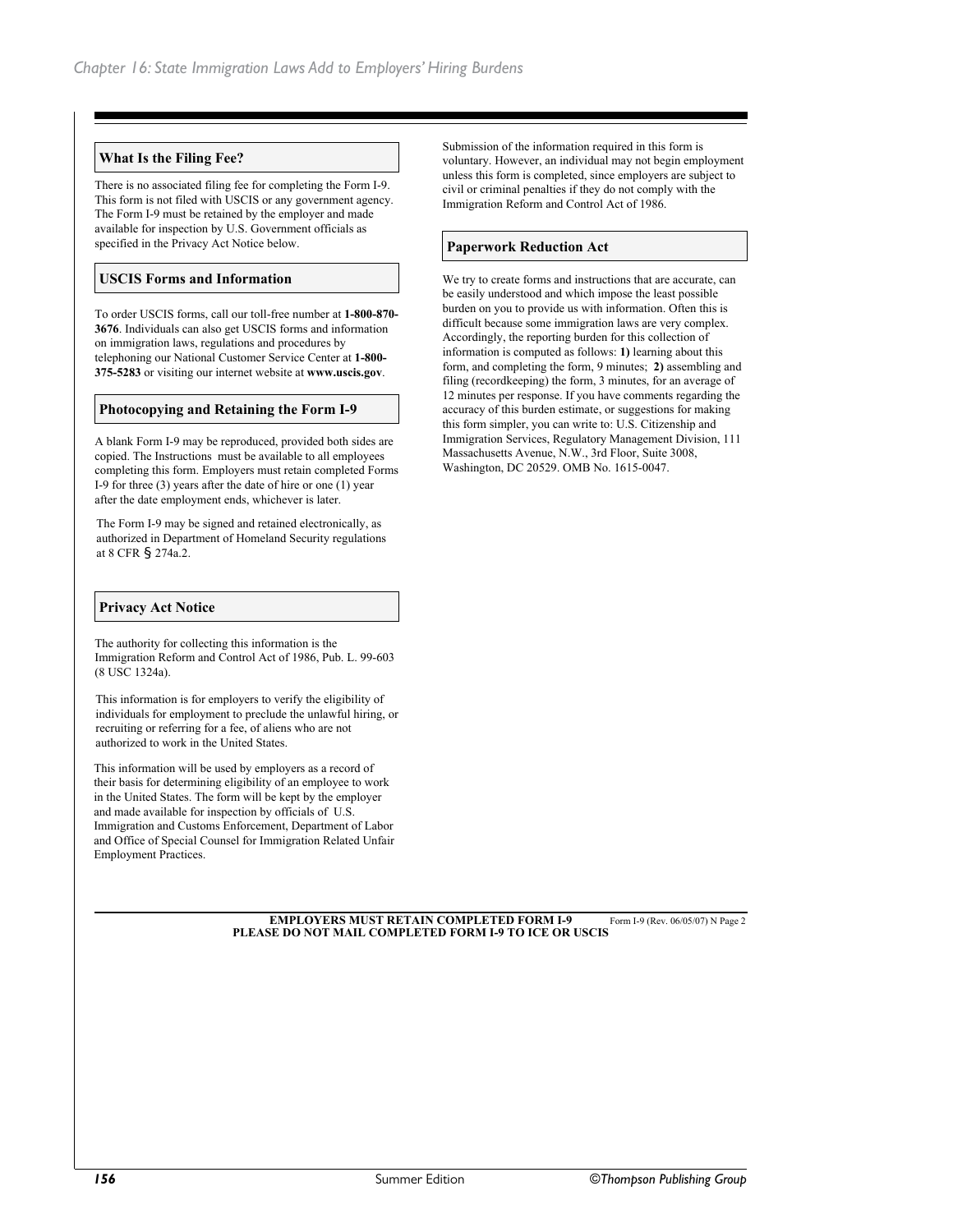#### **What Is the Filing Fee?**

There is no associated filing fee for completing the Form I-9. This form is not filed with USCIS or any government agency. The Form I-9 must be retained by the employer and made available for inspection by U.S. Government officials as specified in the Privacy Act Notice below.

#### **USCIS Forms and Information**

To order USCIS forms, call our toll-free number at **1-800-870- 3676**. Individuals can also get USCIS forms and information on immigration laws, regulations and procedures by telephoning our National Customer Service Center at **1-800- 375-5283** or visiting our internet website at **www.uscis.gov**.

#### **Photocopying and Retaining the Form I-9**

A blank Form I-9 may be reproduced, provided both sides are copied. The Instructions must be available to all employees completing this form. Employers must retain completed Forms I-9 for three (3) years after the date of hire or one (1) year after the date employment ends, whichever is later.

The Form I-9 may be signed and retained electronically, as authorized in Department of Homeland Security regulations at 8 CFR § 274a.2.

#### **Privacy Act Notice**

The authority for collecting this information is the Immigration Reform and Control Act of 1986, Pub. L. 99-603 (8 USC 1324a).

This information is for employers to verify the eligibility of individuals for employment to preclude the unlawful hiring, or recruiting or referring for a fee, of aliens who are not authorized to work in the United States.

This information will be used by employers as a record of their basis for determining eligibility of an employee to work in the United States. The form will be kept by the employer and made available for inspection by officials of U.S. Immigration and Customs Enforcement, Department of Labor and Office of Special Counsel for Immigration Related Unfair Employment Practices.

Submission of the information required in this form is voluntary. However, an individual may not begin employment unless this form is completed, since employers are subject to civil or criminal penalties if they do not comply with the Immigration Reform and Control Act of 1986.

#### **Paperwork Reduction Act**

We try to create forms and instructions that are accurate, can be easily understood and which impose the least possible burden on you to provide us with information. Often this is difficult because some immigration laws are very complex. Accordingly, the reporting burden for this collection of information is computed as follows: **1)** learning about this form, and completing the form, 9 minutes; **2)** assembling and filing (recordkeeping) the form, 3 minutes, for an average of 12 minutes per response. If you have comments regarding the accuracy of this burden estimate, or suggestions for making this form simpler, you can write to: U.S. Citizenship and Immigration Services, Regulatory Management Division, 111 Massachusetts Avenue, N.W., 3rd Floor, Suite 3008, Washington, DC 20529. OMB No. 1615-0047.

**EMPLOYERS MUST RETAIN COMPLETED FORM I-9 PLEASE DO NOT MAIL COMPLETED FORM I-9 TO ICE OR USCIS** Form I-9 (Rev. 06/05/07) N Page 2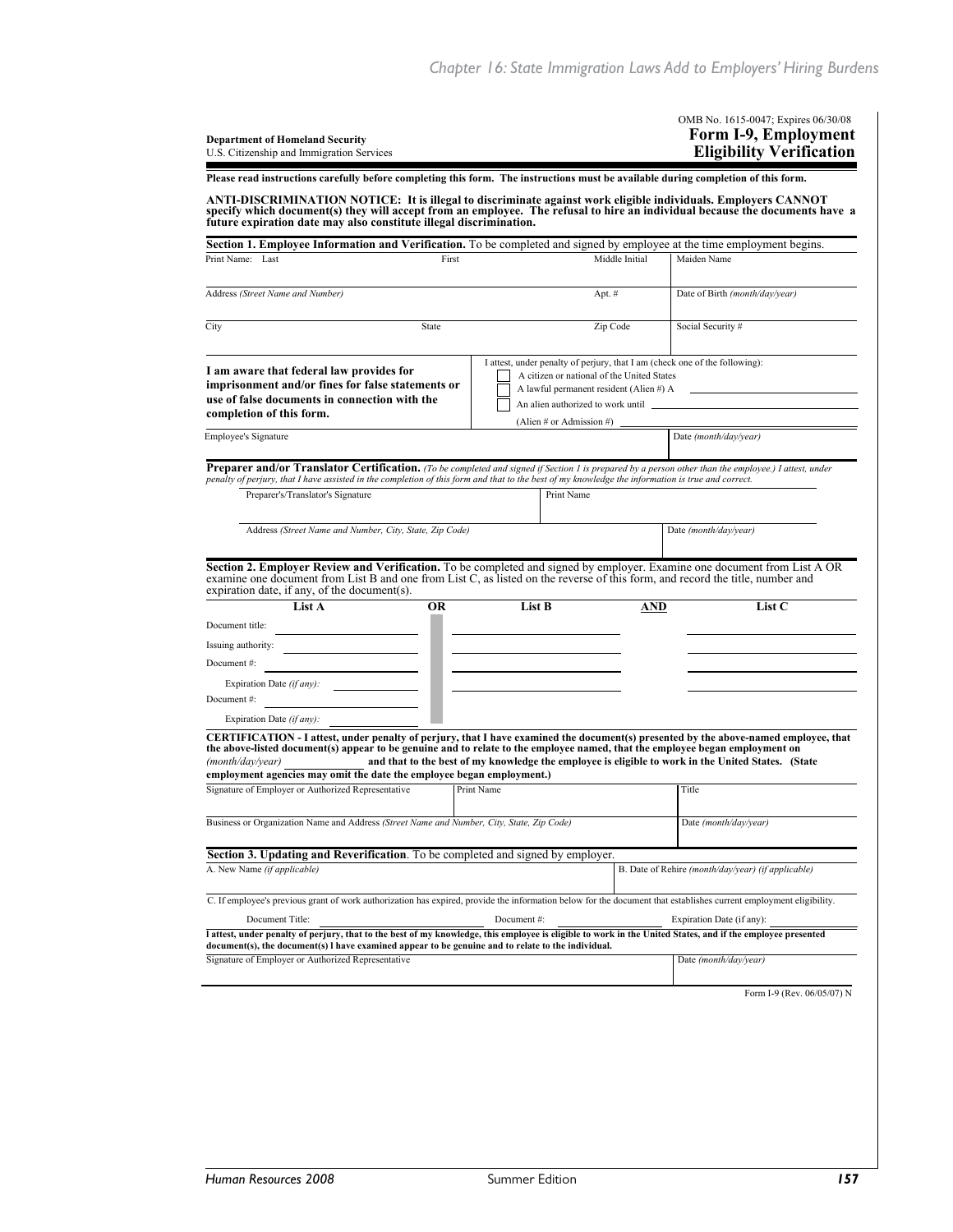| <b>Department of Homeland Security</b><br>U.S. Citizenship and Immigration Services                                                                                                                                                                                                                                                                                                                                                                                                                                                                                                                                                                                             |                                                                                                                                                                                                           | OMB No. 1615-0047; Expires 06/30/08<br>Form I-9, Employment<br><b>Eligibility Verification</b> |
|---------------------------------------------------------------------------------------------------------------------------------------------------------------------------------------------------------------------------------------------------------------------------------------------------------------------------------------------------------------------------------------------------------------------------------------------------------------------------------------------------------------------------------------------------------------------------------------------------------------------------------------------------------------------------------|-----------------------------------------------------------------------------------------------------------------------------------------------------------------------------------------------------------|------------------------------------------------------------------------------------------------|
| Please read instructions carefully before completing this form. The instructions must be available during completion of this form.                                                                                                                                                                                                                                                                                                                                                                                                                                                                                                                                              |                                                                                                                                                                                                           |                                                                                                |
| ANTI-DISCRIMINATION NOTICE: It is illegal to discriminate against work eligible individuals. Employers CANNOT<br>specify which document(s) they will accept from an employee. The refusal to hire an individual because the documents have a<br>future expiration date may also constitute illegal discrimination.                                                                                                                                                                                                                                                                                                                                                              |                                                                                                                                                                                                           |                                                                                                |
| Section 1. Employee Information and Verification. To be completed and signed by employee at the time employment begins.                                                                                                                                                                                                                                                                                                                                                                                                                                                                                                                                                         |                                                                                                                                                                                                           |                                                                                                |
| Print Name: Last<br>First                                                                                                                                                                                                                                                                                                                                                                                                                                                                                                                                                                                                                                                       | Middle Initial                                                                                                                                                                                            | Maiden Name                                                                                    |
| Address (Street Name and Number)                                                                                                                                                                                                                                                                                                                                                                                                                                                                                                                                                                                                                                                | Apt. #                                                                                                                                                                                                    | Date of Birth (month/day/year)                                                                 |
| City<br>State                                                                                                                                                                                                                                                                                                                                                                                                                                                                                                                                                                                                                                                                   | Zip Code                                                                                                                                                                                                  | Social Security #                                                                              |
| I am aware that federal law provides for<br>imprisonment and/or fines for false statements or<br>use of false documents in connection with the<br>completion of this form.                                                                                                                                                                                                                                                                                                                                                                                                                                                                                                      | I attest, under penalty of perjury, that I am (check one of the following):<br>A citizen or national of the United States<br>A lawful permanent resident (Alien #) A<br>An alien authorized to work until |                                                                                                |
|                                                                                                                                                                                                                                                                                                                                                                                                                                                                                                                                                                                                                                                                                 | (Alien # or Admission #)                                                                                                                                                                                  |                                                                                                |
| <b>Employee's Signature</b>                                                                                                                                                                                                                                                                                                                                                                                                                                                                                                                                                                                                                                                     |                                                                                                                                                                                                           | Date (month/day/year)                                                                          |
| <b>Preparer and/or Translator Certification.</b> (To be completed and signed if Section 1 is prepared by a person other than the employee.) I attest, under<br>penalty of perjury, that I have assisted in the completion of this form and that to the best of my knowledge the information is true and correct.                                                                                                                                                                                                                                                                                                                                                                |                                                                                                                                                                                                           |                                                                                                |
| Preparer's/Translator's Signature                                                                                                                                                                                                                                                                                                                                                                                                                                                                                                                                                                                                                                               | Print Name                                                                                                                                                                                                |                                                                                                |
| Address (Street Name and Number, City, State, Zip Code)                                                                                                                                                                                                                                                                                                                                                                                                                                                                                                                                                                                                                         |                                                                                                                                                                                                           | Date (month/day/year)                                                                          |
|                                                                                                                                                                                                                                                                                                                                                                                                                                                                                                                                                                                                                                                                                 |                                                                                                                                                                                                           |                                                                                                |
| Section 2. Employer Review and Verification. To be completed and signed by employer. Examine one document from List A OR<br>examine one document from List B and one from List C, as listed on the reverse of this form, and record the title, number and<br>expiration date, if any, of the document(s).<br><b>OR</b><br>List A                                                                                                                                                                                                                                                                                                                                                | List B                                                                                                                                                                                                    | AND<br>List C                                                                                  |
| Document title:                                                                                                                                                                                                                                                                                                                                                                                                                                                                                                                                                                                                                                                                 |                                                                                                                                                                                                           |                                                                                                |
|                                                                                                                                                                                                                                                                                                                                                                                                                                                                                                                                                                                                                                                                                 |                                                                                                                                                                                                           |                                                                                                |
|                                                                                                                                                                                                                                                                                                                                                                                                                                                                                                                                                                                                                                                                                 |                                                                                                                                                                                                           |                                                                                                |
| Expiration Date (if any):                                                                                                                                                                                                                                                                                                                                                                                                                                                                                                                                                                                                                                                       |                                                                                                                                                                                                           |                                                                                                |
| Issuing authority:<br>Document#:<br>Document#:                                                                                                                                                                                                                                                                                                                                                                                                                                                                                                                                                                                                                                  |                                                                                                                                                                                                           |                                                                                                |
| Expiration Date (if any):<br>CERTIFICATION - I attest, under penalty of perjury, that I have examined the document(s) presented by the above-named employee, that<br>the above-listed document(s) appear to be genuine and to relate to the employee named, that the employee began employment on<br>(month/day/year)<br>employment agencies may omit the date the employee began employment.)                                                                                                                                                                                                                                                                                  | and that to the best of my knowledge the employee is eligible to work in the United States. (State                                                                                                        |                                                                                                |
|                                                                                                                                                                                                                                                                                                                                                                                                                                                                                                                                                                                                                                                                                 | Print Name                                                                                                                                                                                                | Title                                                                                          |
|                                                                                                                                                                                                                                                                                                                                                                                                                                                                                                                                                                                                                                                                                 |                                                                                                                                                                                                           | Date (month/day/year)                                                                          |
|                                                                                                                                                                                                                                                                                                                                                                                                                                                                                                                                                                                                                                                                                 |                                                                                                                                                                                                           |                                                                                                |
| <b>Section 3. Updating and Reverification.</b> To be completed and signed by employer.                                                                                                                                                                                                                                                                                                                                                                                                                                                                                                                                                                                          |                                                                                                                                                                                                           | B. Date of Rehire (month/day/year) (if applicable)                                             |
|                                                                                                                                                                                                                                                                                                                                                                                                                                                                                                                                                                                                                                                                                 |                                                                                                                                                                                                           |                                                                                                |
| Document Title:                                                                                                                                                                                                                                                                                                                                                                                                                                                                                                                                                                                                                                                                 | Document#:                                                                                                                                                                                                | Expiration Date (if any):                                                                      |
|                                                                                                                                                                                                                                                                                                                                                                                                                                                                                                                                                                                                                                                                                 |                                                                                                                                                                                                           |                                                                                                |
| Signature of Employer or Authorized Representative<br>Business or Organization Name and Address (Street Name and Number, City, State, Zip Code)<br>A. New Name (if applicable)<br>C. If employee's previous grant of work authorization has expired, provide the information below for the document that establishes current employment eligibility.<br>I attest, under penalty of perjury, that to the best of my knowledge, this employee is eligible to work in the United States, and if the employee presented<br>document(s), the document(s) I have examined appear to be genuine and to relate to the individual.<br>Signature of Employer or Authorized Representative |                                                                                                                                                                                                           | Date (month/day/year)                                                                          |